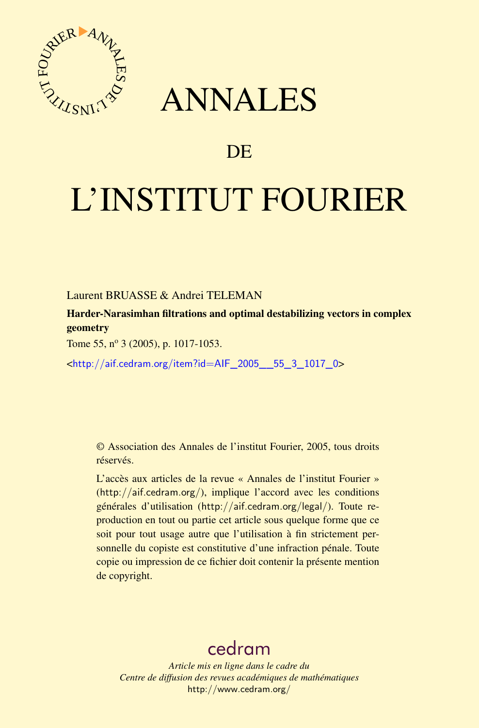

## ANNALES

## DE

# L'INSTITUT FOURIER

Laurent BRUASSE & Andrei TELEMAN

Harder-Narasimhan filtrations and optimal destabilizing vectors in complex geometry

Tome 55, nº 3 (2005), p. 1017-1053.

<[http://aif.cedram.org/item?id=AIF\\_2005\\_\\_55\\_3\\_1017\\_0](http://aif.cedram.org/item?id=AIF_2005__55_3_1017_0)>

© Association des Annales de l'institut Fourier, 2005, tous droits réservés.

L'accès aux articles de la revue « Annales de l'institut Fourier » (<http://aif.cedram.org/>), implique l'accord avec les conditions générales d'utilisation (<http://aif.cedram.org/legal/>). Toute reproduction en tout ou partie cet article sous quelque forme que ce soit pour tout usage autre que l'utilisation à fin strictement personnelle du copiste est constitutive d'une infraction pénale. Toute copie ou impression de ce fichier doit contenir la présente mention de copyright.

## [cedram](http://www.cedram.org/)

*Article mis en ligne dans le cadre du Centre de diffusion des revues académiques de mathématiques* <http://www.cedram.org/>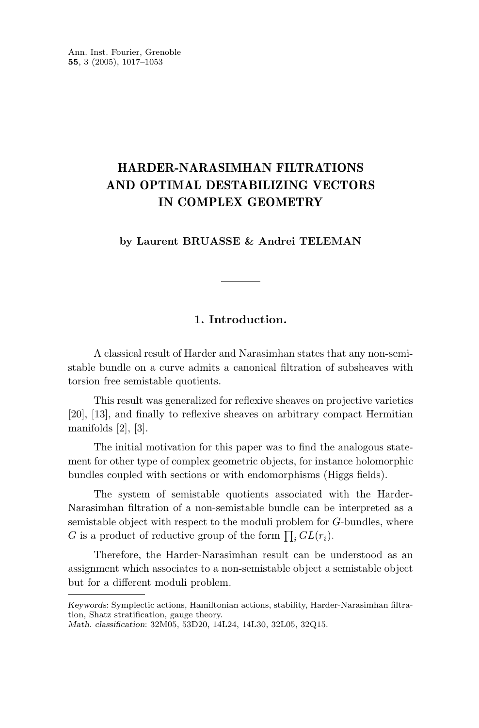Ann. Inst. Fourier, Grenoble **55**, 3 (2005), 1017–1053

### **HARDER-NARASIMHAN FILTRATIONS AND OPTIMAL DESTABILIZING VECTORS IN COMPLEX GEOMETRY**

#### **by Laurent BRUASSE & Andrei TELEMAN**

#### **1. Introduction.**

A classical result of Harder and Narasimhan states that any non-semistable bundle on a curve admits a canonical filtration of subsheaves with torsion free semistable quotients.

This result was generalized for reflexive sheaves on projective varieties [20], [13], and finally to reflexive sheaves on arbitrary compact Hermitian manifolds [2], [3].

The initial motivation for this paper was to find the analogous statement for other type of complex geometric objects, for instance holomorphic bundles coupled with sections or with endomorphisms (Higgs fields).

The system of semistable quotients associated with the Harder-Narasimhan filtration of a non-semistable bundle can be interpreted as a semistable object with respect to the moduli problem for *G*-bundles, where G is a product of reductive group of the form  $\prod_i GL(r_i)$ .

Therefore, the Harder-Narasimhan result can be understood as an assignment which associates to a non-semistable object a semistable object but for a different moduli problem.

*Keywords*: Symplectic actions, Hamiltonian actions, stability, Harder-Narasimhan filtration, Shatz stratification, gauge theory.

*Math. classification*: 32M05, 53D20, 14L24, 14L30, 32L05, 32Q15.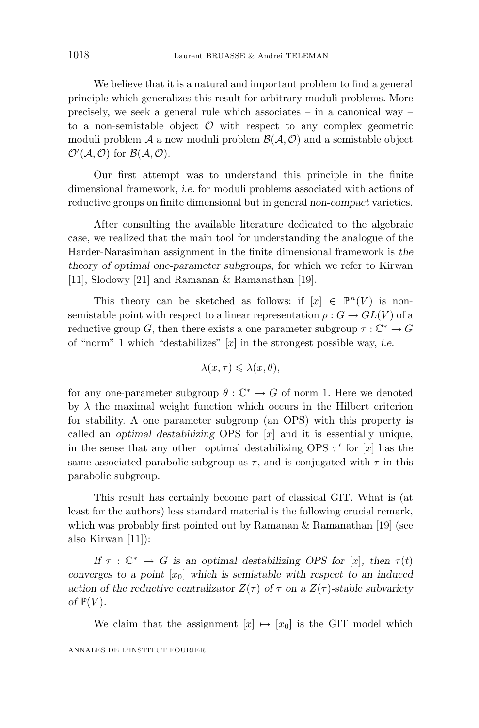We believe that it is a natural and important problem to find a general principle which generalizes this result for arbitrary moduli problems. More precisely, we seek a general rule which associates – in a canonical way – to a non-semistable object  $O$  with respect to any complex geometric moduli problem  $\mathcal A$  a new moduli problem  $\mathcal B(\mathcal A,\mathcal O)$  and a semistable object  $\mathcal{O}'(\mathcal{A}, \mathcal{O})$  for  $\mathcal{B}(\mathcal{A}, \mathcal{O})$ .

Our first attempt was to understand this principle in the finite dimensional framework, *i.e.* for moduli problems associated with actions of reductive groups on finite dimensional but in general *non-compact* varieties.

After consulting the available literature dedicated to the algebraic case, we realized that the main tool for understanding the analogue of the Harder-Narasimhan assignment in the finite dimensional framework is *the theory of optimal one-parameter subgroups*, for which we refer to Kirwan [11], Slodowy [21] and Ramanan & Ramanathan [19].

This theory can be sketched as follows: if  $[x] \in \mathbb{P}^n(V)$  is nonsemistable point with respect to a linear representation  $\rho: G \to GL(V)$  of a reductive group *G*, then there exists a one parameter subgroup  $\tau : \mathbb{C}^* \to G$ of "norm" 1 which "destabilizes" [*x*] in the strongest possible way, *i.e.*

$$
\lambda(x,\tau) \leqslant \lambda(x,\theta),
$$

for any one-parameter subgroup  $\theta : \mathbb{C}^* \to G$  of norm 1. Here we denoted by  $\lambda$  the maximal weight function which occurs in the Hilbert criterion for stability. A one parameter subgroup (an OPS) with this property is called an *optimal destabilizing* OPS for [*x*] and it is essentially unique, in the sense that any other optimal destabilizing OPS  $\tau'$  for [*x*] has the same associated parabolic subgroup as  $\tau$ , and is conjugated with  $\tau$  in this parabolic subgroup.

This result has certainly become part of classical GIT. What is (at least for the authors) less standard material is the following crucial remark, which was probably first pointed out by Ramanan & Ramanathan [19] (see also Kirwan [11]):

*If*  $\tau : \mathbb{C}^* \to G$  *is an optimal destabilizing OPS for* [*x*]*, then*  $\tau(t)$ *converges to a point* [*x*0] *which is semistable with respect to an induced action of the reductive centralizator*  $Z(\tau)$  *of*  $\tau$  *on a*  $Z(\tau)$ *-stable subvariety of*  $\mathbb{P}(V)$ *.* 

We claim that the assignment  $[x] \mapsto [x_0]$  is the GIT model which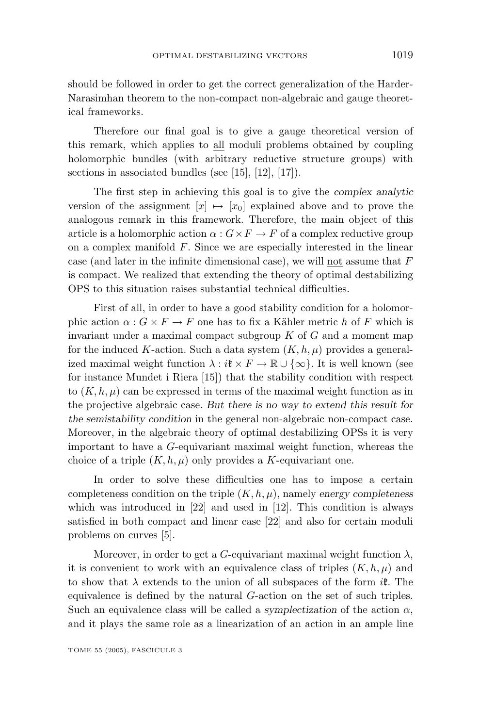should be followed in order to get the correct generalization of the Harder-Narasimhan theorem to the non-compact non-algebraic and gauge theoretical frameworks.

Therefore our final goal is to give a gauge theoretical version of this remark, which applies to all moduli problems obtained by coupling holomorphic bundles (with arbitrary reductive structure groups) with sections in associated bundles (see [15], [12], [17]).

The first step in achieving this goal is to give the *complex analytic* version of the assignment  $[x] \mapsto [x_0]$  explained above and to prove the analogous remark in this framework. Therefore, the main object of this article is a holomorphic action  $\alpha$  :  $G \times F \to F$  of a complex reductive group on a complex manifold  $F$ . Since we are especially interested in the linear case (and later in the infinite dimensional case), we will not assume that *F* is compact. We realized that extending the theory of optimal destabilizing OPS to this situation raises substantial technical difficulties.

First of all, in order to have a good stability condition for a holomorphic action  $\alpha$  :  $G \times F \to F$  one has to fix a Kähler metric *h* of *F* which is invariant under a maximal compact subgroup *K* of *G* and a moment map for the induced K-action. Such a data system  $(K, h, \mu)$  provides a generalized maximal weight function  $\lambda : i\mathfrak{k} \times F \to \mathbb{R} \cup {\infty}$ . It is well known (see for instance Mundet i Riera [15]) that the stability condition with respect to  $(K, h, \mu)$  can be expressed in terms of the maximal weight function as in the projective algebraic case. *But there is no way to extend this result for the semistability condition* in the general non-algebraic non-compact case. Moreover, in the algebraic theory of optimal destabilizing OPSs it is very important to have a *G*-equivariant maximal weight function, whereas the choice of a triple  $(K, h, \mu)$  only provides a *K*-equivariant one.

In order to solve these difficulties one has to impose a certain completeness condition on the triple (*K, h, µ*), namely *energy completeness* which was introduced in [22] and used in [12]. This condition is always satisfied in both compact and linear case [22] and also for certain moduli problems on curves [5].

Moreover, in order to get a *G*-equivariant maximal weight function  $\lambda$ , it is convenient to work with an equivalence class of triples  $(K, h, \mu)$  and to show that *λ* extends to the union of all subspaces of the form *i*k. The equivalence is defined by the natural *G*-action on the set of such triples. Such an equivalence class will be called a *symplectization* of the action  $\alpha$ , and it plays the same role as a linearization of an action in an ample line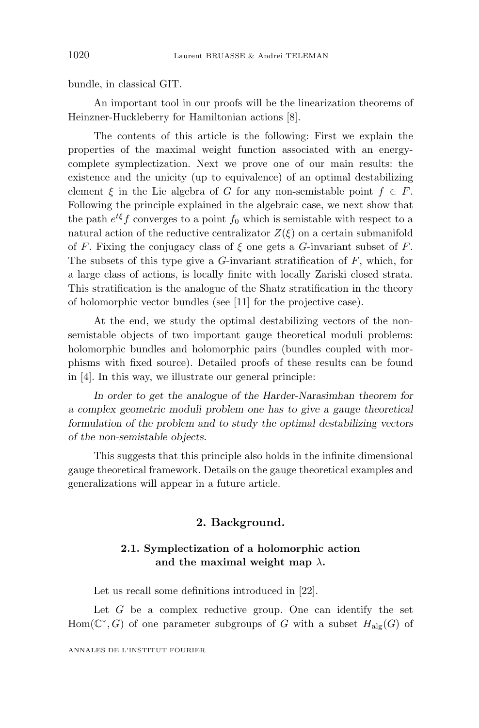bundle, in classical GIT.

An important tool in our proofs will be the linearization theorems of Heinzner-Huckleberry for Hamiltonian actions [8].

The contents of this article is the following: First we explain the properties of the maximal weight function associated with an energycomplete symplectization. Next we prove one of our main results: the existence and the unicity (up to equivalence) of an optimal destabilizing element  $\xi$  in the Lie algebra of *G* for any non-semistable point  $f \in F$ . Following the principle explained in the algebraic case, we next show that the path  $e^{t\xi}$ *f* converges to a point  $f_0$  which is semistable with respect to a natural action of the reductive centralizator  $Z(\xi)$  on a certain submanifold of *F*. Fixing the conjugacy class of *ξ* one gets a *G*-invariant subset of *F*. The subsets of this type give a *G*-invariant stratification of *F*, which, for a large class of actions, is locally finite with locally Zariski closed strata. This stratification is the analogue of the Shatz stratification in the theory of holomorphic vector bundles (see [11] for the projective case).

At the end, we study the optimal destabilizing vectors of the nonsemistable objects of two important gauge theoretical moduli problems: holomorphic bundles and holomorphic pairs (bundles coupled with morphisms with fixed source). Detailed proofs of these results can be found in [4]. In this way, we illustrate our general principle:

*In order to get the analogue of the Harder-Narasimhan theorem for a complex geometric moduli problem one has to give a gauge theoretical formulation of the problem and to study the optimal destabilizing vectors of the non-semistable objects.*

This suggests that this principle also holds in the infinite dimensional gauge theoretical framework. Details on the gauge theoretical examples and generalizations will appear in a future article.

#### **2. Background.**

#### **2.1. Symplectization of a holomorphic action and the maximal weight map** *λ***.**

Let us recall some definitions introduced in [22].

Let  $G$  be a complex reductive group. One can identify the set Hom( $\mathbb{C}^*$ , *G*) of one parameter subgroups of *G* with a subset  $H_{\text{alg}}(G)$  of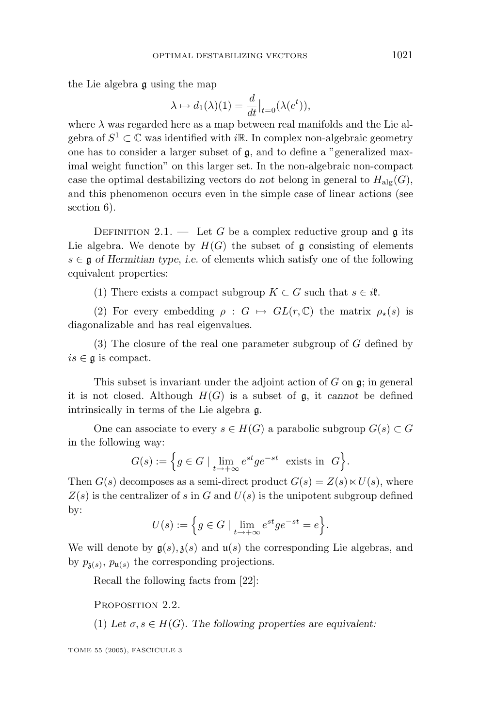the Lie algebra g using the map

$$
\lambda \mapsto d_1(\lambda)(1) = \frac{d}{dt}\big|_{t=0} (\lambda(e^t)),
$$

where  $\lambda$  was regarded here as a map between real manifolds and the Lie algebra of  $S^1 \subset \mathbb{C}$  was identified with *i*R. In complex non-algebraic geometry one has to consider a larger subset of g, and to define a "generalized maximal weight function" on this larger set. In the non-algebraic non-compact case the optimal destabilizing vectors do *not* belong in general to  $H_{\text{alg}}(G)$ , and this phenomenon occurs even in the simple case of linear actions (see section 6).

DEFINITION 2.1. — Let *G* be a complex reductive group and  $\mathfrak g$  its Lie algebra. We denote by  $H(G)$  the subset of g consisting of elements *s* ∈ g *of Hermitian type*, *i.e.* of elements which satisfy one of the following equivalent properties:

(1) There exists a compact subgroup  $K \subset G$  such that  $s \in i\mathfrak{k}$ .

(2) For every embedding  $\rho : G \mapsto GL(r, \mathbb{C})$  the matrix  $\rho_{\star}(s)$  is diagonalizable and has real eigenvalues.

(3) The closure of the real one parameter subgroup of *G* defined by  $is \in \mathfrak{a}$  is compact.

This subset is invariant under the adjoint action of *G* on g; in general it is not closed. Although  $H(G)$  is a subset of  $\mathfrak{g}$ , it *cannot* be defined intrinsically in terms of the Lie algebra g.

One can associate to every  $s \in H(G)$  a parabolic subgroup  $G(s) \subset G$ in the following way:

$$
G(s) := \Big\{ g \in G \mid \lim_{t \to +\infty} e^{st} g e^{-st} \text{ exists in } G \Big\}.
$$

Then  $G(s)$  decomposes as a semi-direct product  $G(s) = Z(s) \ltimes U(s)$ , where  $Z(s)$  is the centralizer of *s* in *G* and  $U(s)$  is the unipotent subgroup defined by:

$$
U(s) := \Big\{ g \in G \mid \lim_{t \to +\infty} e^{st} g e^{-st} = e \Big\}.
$$

We will denote by  $g(s)$ ,  $g(s)$  and  $u(s)$  the corresponding Lie algebras, and by  $p_{\mathfrak{z}(s)}$ ,  $p_{\mathfrak{u}(s)}$  the corresponding projections.

Recall the following facts from [22]:

PROPOSITION 2.2.

(1) Let  $\sigma, s \in H(G)$ . The following properties are equivalent: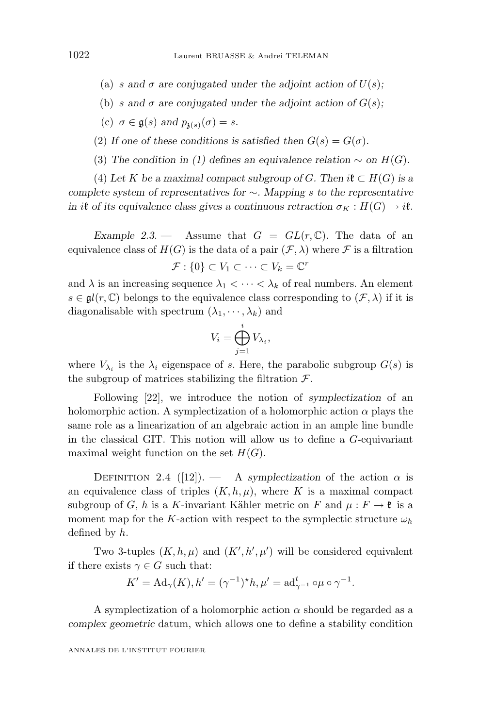- (a) *s* and  $\sigma$  are conjugated under the adjoint action of  $U(s)$ ;
- (b) *s* and  $\sigma$  are conjugated under the adjoint action of  $G(s)$ ;
- (c)  $\sigma \in \mathfrak{g}(s)$  and  $p_{\mathfrak{z}(s)}(\sigma) = s$ .
- (2) If one of these conditions is satisfied then  $G(s) = G(\sigma)$ .
- (3) *The condition in (1) defines an equivalence relation*  $\sim$  *on H(G)*.

(4) Let *K* be a maximal compact subgroup of *G*. Then  $i\mathfrak{k} \subset H(G)$  is a *complete system of representatives for* ∼*. Mapping s to the representative in i***t** *of its equivalence class gives a continuous retraction*  $\sigma_K : H(G) \to i\mathfrak{k}$ .

*Example 2.3.* — Assume that  $G = GL(r, \mathbb{C})$ . The data of an equivalence class of  $H(G)$  is the data of a pair  $(\mathcal{F}, \lambda)$  where  $\mathcal F$  is a filtration  $\mathcal{F}: \{0\} \subset V_1 \subset \cdots \subset V_k = \mathbb{C}^r$ 

and  $\lambda$  is an increasing sequence  $\lambda_1 < \cdots < \lambda_k$  of real numbers. An element  $s \in \mathfrak{gl}(r, \mathbb{C})$  belongs to the equivalence class corresponding to  $(\mathcal{F}, \lambda)$  if it is diagonalisable with spectrum  $(\lambda_1, \dots, \lambda_k)$  and

$$
V_i = \bigoplus_{j=1}^i V_{\lambda_i},
$$

where  $V_{\lambda_i}$  is the  $\lambda_i$  eigenspace of *s*. Here, the parabolic subgroup  $G(s)$  is the subgroup of matrices stabilizing the filtration  $\mathcal{F}$ .

Following [22], we introduce the notion of *symplectization* of an holomorphic action. A symplectization of a holomorphic action *α* plays the same role as a linearization of an algebraic action in an ample line bundle in the classical GIT. This notion will allow us to define a *G*-equivariant maximal weight function on the set  $H(G)$ .

DEFINITION 2.4 ([12]). — A *symplectization* of the action  $\alpha$  is an equivalence class of triples  $(K, h, \mu)$ , where K is a maximal compact subgroup of *G*, *h* is a *K*-invariant Kähler metric on *F* and  $\mu : F \to \mathfrak{k}$  is a moment map for the *K*-action with respect to the symplectic structure  $\omega_h$ defined by *h*.

Two 3-tuples  $(K, h, \mu)$  and  $(K', h', \mu')$  will be considered equivalent if there exists  $\gamma \in G$  such that:

$$
K' = \mathrm{Ad}_{\gamma}(K), h' = (\gamma^{-1})^{\star}h, \mu' = \mathrm{ad}_{\gamma^{-1}}^{t} \circ \mu \circ \gamma^{-1}.
$$

A symplectization of a holomorphic action  $\alpha$  should be regarded as a *complex geometric* datum, which allows one to define a stability condition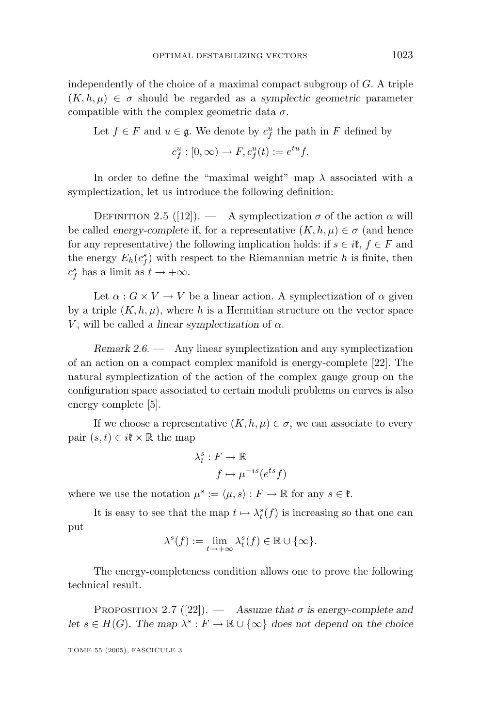independently of the choice of a maximal compact subgroup of *G*. A triple  $(K, h, \mu) \in \sigma$  should be regarded as a *symplectic geometric* parameter compatible with the complex geometric data  $\sigma$ .

Let  $f \in F$  and  $u \in \mathfrak{g}$ . We denote by  $c_f^u$  the path in  $F$  defined by

$$
c_f^u : [0, \infty) \to F, c_f^u(t) := e^{tu} f.
$$

In order to define the "maximal weight" map *λ* associated with a symplectization, let us introduce the following definition:

DEFINITION 2.5 ([12]). — A symplectization  $\sigma$  of the action  $\alpha$  will be called *energy-complete* if, for a representative  $(K, h, \mu) \in \sigma$  (and hence for any representative) the following implication holds: if  $s \in i\mathfrak{k}$ ,  $f \in F$  and the energy  $E_h(c_f^s)$  with respect to the Riemannian metric *h* is finite, then  $c_f^s$  has a limit as  $t \to +\infty$ .

Let  $\alpha$  :  $G \times V \to V$  be a linear action. A symplectization of  $\alpha$  given by a triple  $(K, h, \mu)$ , where h is a Hermitian structure on the vector space *V*, will be called a *linear symplectization* of  $\alpha$ .

*Remark 2.6*. — Any linear symplectization and any symplectization of an action on a compact complexmanifold is energy-complete [22]. The natural symplectization of the action of the complexgauge group on the configuration space associated to certain moduli problems on curves is also energy complete [5].

If we choose a representative  $(K, h, \mu) \in \sigma$ , we can associate to every pair  $(s, t) \in i\mathfrak{k} \times \mathbb{R}$  the map

$$
\lambda_t^s : F \to \mathbb{R}
$$

$$
f \mapsto \mu^{-is}(e^{ts}f)
$$

where we use the notation  $\mu^s := \langle \mu, s \rangle : F \to \mathbb{R}$  for any  $s \in \mathfrak{k}$ .

It is easy to see that the map  $t \mapsto \lambda_t^s(f)$  is increasing so that one can put

$$
\lambda^{s}(f) := \lim_{t \to +\infty} \lambda_{t}^{s}(f) \in \mathbb{R} \cup \{\infty\}.
$$

The energy-completeness condition allows one to prove the following technical result.

PROPOSITION 2.7 ([22]). — Assume that  $\sigma$  is energy-complete and *let*  $s \in H(G)$ . The map  $\lambda^s : F \to \mathbb{R} \cup \{\infty\}$  does not depend on the choice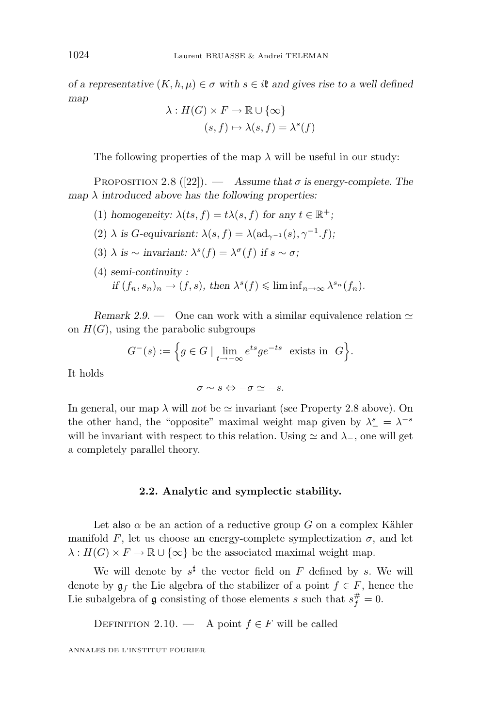*of a representative*  $(K, h, \mu) \in \sigma$  *with*  $s \in \mathcal{R}$  *and gives rise to a well defined map*

$$
\lambda: H(G) \times F \to \mathbb{R} \cup \{\infty\}
$$

$$
(s, f) \mapsto \lambda(s, f) = \lambda^s(f)
$$

The following properties of the map  $\lambda$  will be useful in our study:

PROPOSITION 2.8  $([22])$ . — *Assume that*  $\sigma$  *is energy-complete. The map λ introduced above has the following properties:*

- (1) *homogeneity:*  $\lambda(ts, f) = t\lambda(s, f)$  *for any*  $t \in \mathbb{R}^+$ ;
- (2)  $\lambda$  *is G*-equivariant:  $\lambda(s, f) = \lambda(\text{ad}_{\gamma^{-1}}(s), \gamma^{-1}, f);$
- (3)  $\lambda$  *is* ∼ *invariant:*  $\lambda^{s}(f) = \lambda^{\sigma}(f)$  *if*  $s \sim \sigma$ ;
- (4) *semi-continuity :*  $if (f_n, s_n)_n \to (f, s), \text{ then } \lambda^s(f) \leqslant \liminf_{n \to \infty} \lambda^{s_n}(f_n).$

*Remark 2.9.* — One can work with a similar equivalence relation  $\simeq$ on  $H(G)$ , using the parabolic subgroups

$$
G^{-}(s) := \Big\{ g \in G \mid \lim_{t \to -\infty} e^{ts} g e^{-ts} \text{ exists in } G \Big\}.
$$

It holds

$$
\sigma \sim s \Leftrightarrow -\sigma \simeq -s.
$$

In general, our map  $\lambda$  will *not* be  $\simeq$  invariant (see Property 2.8 above). On the other hand, the "opposite" maximal weight map given by  $\lambda^s_- = \lambda^{-s}$ will be invariant with respect to this relation. Using  $\simeq$  and  $\lambda$ <sub>−</sub>, one will get a completely parallel theory.

#### **2.2. Analytic and symplectic stability.**

Let also  $\alpha$  be an action of a reductive group *G* on a complex Kähler manifold F, let us choose an energy-complete symplectization  $\sigma$ , and let  $\lambda: H(G) \times F \to \mathbb{R} \cup {\infty}$  be the associated maximal weight map.

We will denote by  $s^{\sharp}$  the vector field on  $F$  defined by  $s$ . We will denote by  $\mathfrak{g}_f$  the Lie algebra of the stabilizer of a point  $f \in F$ , hence the Lie subalgebra of  $\mathfrak g$  consisting of those elements *s* such that  $s_f^{\#} = 0$ .

DEFINITION 2.10. — A point  $f \in F$  will be called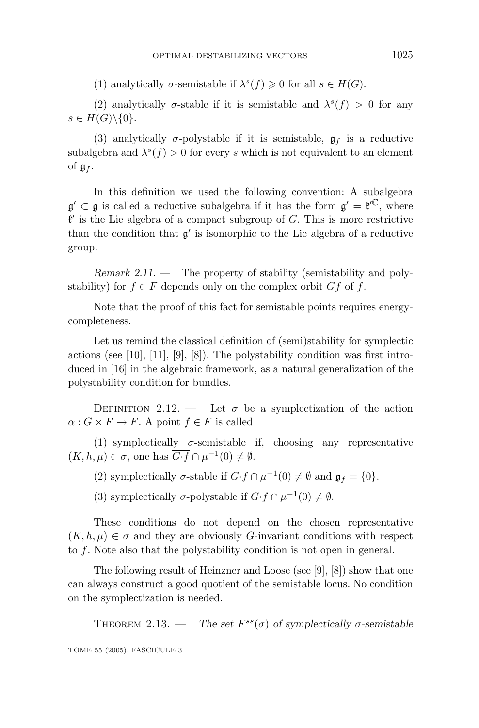(1) analytically  $\sigma$ -semistable if  $\lambda^{s}(f) \geq 0$  for all  $s \in H(G)$ .

(2) analytically  $\sigma$ -stable if it is semistable and  $\lambda^{s}(f) > 0$  for any  $s \in H(G) \backslash \{0\}.$ 

(3) analytically  $\sigma$ -polystable if it is semistable,  $\mathfrak{g}_f$  is a reductive subalgebra and  $\lambda^{s}(f) > 0$  for every *s* which is not equivalent to an element of  $\mathfrak{g}_f$ .

In this definition we used the following convention: A subalgebra  $\mathfrak{g}' \subset \mathfrak{g}$  is called a reductive subalgebra if it has the form  $\mathfrak{g}' = \mathfrak{k}'^{\mathbb{C}}$ , where  $\mathfrak{k}'$  is the Lie algebra of a compact subgroup of *G*. This is more restrictive than the condition that  $\mathfrak{g}'$  is isomorphic to the Lie algebra of a reductive group.

*Remark 2.11.* — The property of stability (semistability and polystability) for  $f \in F$  depends only on the complex orbit  $Gf$  of  $f$ .

Note that the proof of this fact for semistable points requires energycompleteness.

Let us remind the classical definition of (semi)stability for symplectic actions (see [10], [11], [9], [8]). The polystability condition was first introduced in [16] in the algebraic framework, as a natural generalization of the polystability condition for bundles.

DEFINITION 2.12. — Let  $\sigma$  be a symplectization of the action  $\alpha$  :  $G \times F \to F$ . A point  $f \in F$  is called

(1) symplectically  $\sigma$ -semistable if, choosing any representative  $(K, h, \mu) \in \sigma$ , one has  $\overline{G \cdot f} \cap \mu^{-1}(0) \neq \emptyset$ .

(2) symplectically  $\sigma$ -stable if  $G \cdot f \cap \mu^{-1}(0) \neq \emptyset$  and  $\mathfrak{g}_f = \{0\}.$ 

(3) symplectically  $\sigma$ -polystable if  $G \cdot f \cap \mu^{-1}(0) \neq \emptyset$ .

These conditions do not depend on the chosen representative  $(K, h, \mu) \in \sigma$  and they are obviously *G*-invariant conditions with respect to *f*. Note also that the polystability condition is not open in general.

The following result of Heinzner and Loose (see [9], [8]) show that one can always construct a good quotient of the semistable locus. No condition on the symplectization is needed.

THEOREM 2.13. — *The set*  $F^{ss}(\sigma)$  *of symplectically*  $\sigma$ -semistable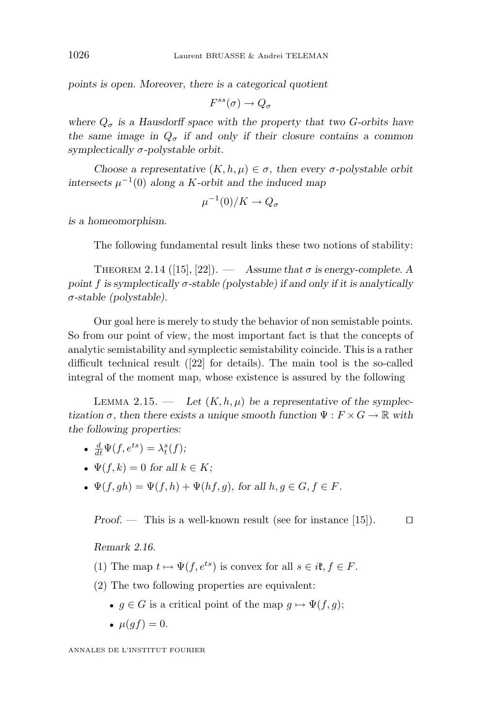*points is open. Moreover, there is a categorical quotient*

$$
F^{ss}(\sigma) \to Q_{\sigma}
$$

where  $Q_{\sigma}$  is a Hausdorff space with the property that two *G*-orbits have *the same image in*  $Q_{\sigma}$  *if and only if their closure contains a common symplectically σ-polystable orbit.*

*Choose a representative*  $(K, h, \mu) \in \sigma$ , then every *σ*-polystable orbit *intersects*  $\mu^{-1}(0)$  *along a K*-*orbit and the induced map* 

$$
\mu^{-1}(0)/K \to Q_{\sigma}
$$

*is a homeomorphism.*

The following fundamental result links these two notions of stability:

THEOREM 2.14 ([15], [22]).  $\qquad$  *Assume that*  $\sigma$  *is energy-complete.* A *point*  $f$  *is symplectically*  $\sigma$ -stable (polystable) if and only if it is analytically *σ-stable (polystable).*

Our goal here is merely to study the behavior of non semistable points. So from our point of view, the most important fact is that the concepts of analytic semistability and symplectic semistability coincide. This is a rather difficult technical result ([22] for details). The main tool is the so-called integral of the moment map, whose existence is assured by the following

LEMMA 2.15. — Let  $(K, h, \mu)$  be a representative of the symplec*tization*  $\sigma$ , then there exists a unique smooth function  $\Psi$  :  $F \times G \to \mathbb{R}$  with *the following properties:*

- $\frac{d}{dt}\Psi(f, e^{ts}) = \lambda_t^s(f);$
- $\Psi(f, k) = 0$  for all  $k \in K$ ;
- $\Psi(f, gh) = \Psi(f, h) + \Psi(hf, q)$ , for all  $h, q \in G, f \in F$ .

*Proof.* — This is a well-known result (see for instance [15]).  $\Box$ 

*Remark 2.16.*

- (1) The map  $t \mapsto \Psi(f, e^{ts})$  is convex for all  $s \in i\mathfrak{k}, f \in F$ .
- (2) The two following properties are equivalent:
	- $g \in G$  is a critical point of the map  $g \mapsto \Psi(f, g)$ ;
	- $\mu(qf) = 0.$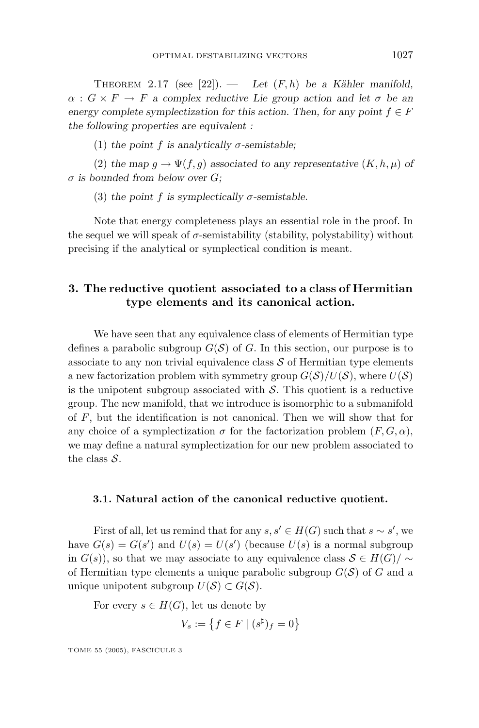THEOREM 2.17 (see  $[22]$ ). — *Let*  $(F,h)$  *be a Kähler manifold,*  $\alpha$  :  $G \times F \to F$  *a* complex reductive Lie group action and let  $\sigma$  be an *energy complete symplectization for this action. Then, for any point*  $f \in F$ *the following properties are equivalent :*

(1) the point f is analytically  $\sigma$ -semistable;

(2) the map  $g \to \Psi(f, g)$  associated to any representative  $(K, h, \mu)$  of *σ is bounded from below over G;*

(3) the point f is symplectically  $\sigma$ -semistable.

Note that energy completeness plays an essential role in the proof. In the sequel we will speak of  $\sigma$ -semistability (stability, polystability) without precising if the analytical or symplectical condition is meant.

#### **3. The reductive quotient associated to a class of Hermitian type elements and its canonical action.**

We have seen that any equivalence class of elements of Hermitian type defines a parabolic subgroup  $G(S)$  of *G*. In this section, our purpose is to associate to any non trivial equivalence class  $\mathcal S$  of Hermitian type elements a new factorization problem with symmetry group  $G(S)/U(S)$ , where  $U(S)$ is the unipotent subgroup associated with  $S$ . This quotient is a reductive group. The new manifold, that we introduce is isomorphic to a submanifold of *F*, but the identification is not canonical. Then we will show that for any choice of a symplectization  $\sigma$  for the factorization problem  $(F, G, \alpha)$ , we may define a natural symplectization for our new problem associated to the class  $S$ .

#### **3.1. Natural action of the canonical reductive quotient.**

First of all, let us remind that for any  $s, s' \in H(G)$  such that  $s \sim s'$ , we have  $G(s) = G(s')$  and  $U(s) = U(s')$  (because  $U(s)$  is a normal subgroup in  $G(s)$ , so that we may associate to any equivalence class  $S \in H(G)/\sim$ of Hermitian type elements a unique parabolic subgroup  $G(\mathcal{S})$  of  $G$  and a unique unipotent subgroup  $U(S) \subset G(S)$ .

For every  $s \in H(G)$ , let us denote by

$$
V_s := \left\{ f \in F \mid (s^\sharp)_f = 0 \right\}
$$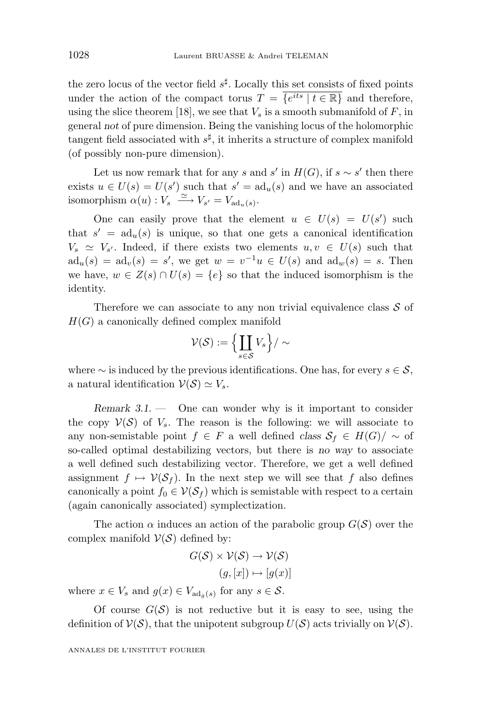the zero locus of the vector field  $s^{\sharp}$ . Locally this set consists of fixed points under the action of the compact torus  $T = \{e^{its} | t \in \mathbb{R}\}\$  and therefore, using the slice theorem [18], we see that  $V_s$  is a smooth submanifold of  $F$ , in general *not* of pure dimension. Being the vanishing locus of the holomorphic tangent field associated with  $s^{\sharp}$ , it inherits a structure of complex manifold (of possibly non-pure dimension).

Let us now remark that for any *s* and *s'* in  $H(G)$ , if  $s \sim s'$  then there exists  $u \in U(s) = U(s')$  such that  $s' = ad_u(s)$  and we have an associated isomorphism  $\alpha(u) : V_s \xrightarrow{\simeq} V_{s'} = V_{\text{ad}_u(s)}$ .

One can easily prove that the element  $u \in U(s) = U(s')$  such that  $s' = ad_u(s)$  is unique, so that one gets a canonical identification  $V_s \simeq V_{s'}$ . Indeed, if there exists two elements  $u, v \in U(s)$  such that  $ad_u(s) = ad_v(s) = s'$ , we get  $w = v^{-1}u \in U(s)$  and  $ad_w(s) = s$ . Then we have,  $w \in Z(s) \cap U(s) = \{e\}$  so that the induced isomorphism is the identity.

Therefore we can associate to any non trivial equivalence class  $S$  of  $H(G)$  a canonically defined complex manifold

$$
\mathcal{V}(\mathcal{S}):=\Bigl\{\coprod_{s\in\mathcal{S}}V_s\Bigr\}/\sim
$$

where  $\sim$  is induced by the previous identifications. One has, for every  $s \in \mathcal{S}$ , a natural identification  $V(S) \simeq V_s$ .

*Remark 3.1*. — One can wonder why is it important to consider the copy  $V(S)$  of  $V_s$ . The reason is the following: we will associate to any non-semistable point  $f \in F$  a well defined *class*  $S_f \in H(G)/\sim$  of so-called optimal destabilizing vectors, but there is *no way* to associate a well defined such destabilizing vector. Therefore, we get a well defined assignment  $f \mapsto \mathcal{V}(\mathcal{S}_f)$ . In the next step we will see that f also defines canonically a point  $f_0 \in V(S_f)$  which is semistable with respect to a certain (again canonically associated) symplectization.

The action  $\alpha$  induces an action of the parabolic group  $G(\mathcal{S})$  over the complex manifold  $V(S)$  defined by:

$$
G(S) \times V(S) \to V(S)
$$

$$
(g, [x]) \mapsto [g(x)]
$$

where  $x \in V_s$  and  $g(x) \in V_{\text{ad}_g(s)}$  for any  $s \in \mathcal{S}$ .

Of course  $G(\mathcal{S})$  is not reductive but it is easy to see, using the definition of  $V(S)$ , that the unipotent subgroup  $U(S)$  acts trivially on  $V(S)$ .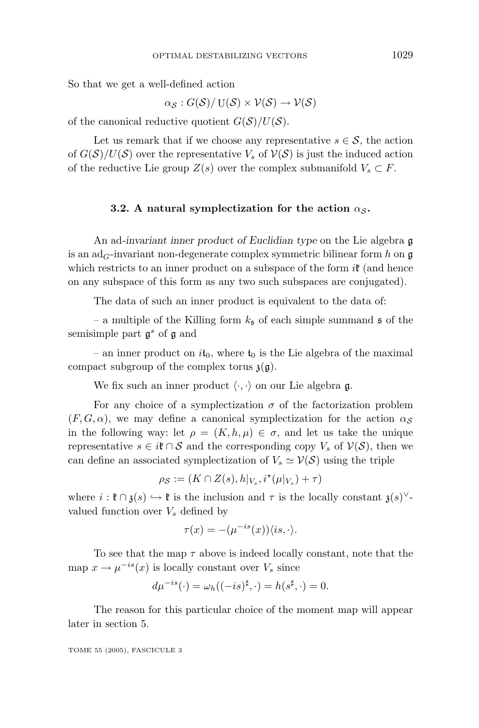So that we get a well-defined action

$$
\alpha_{\mathcal{S}}: G(\mathcal{S})/ U(\mathcal{S}) \times V(\mathcal{S}) \to V(\mathcal{S})
$$

of the canonical reductive quotient  $G(S)/U(S)$ .

Let us remark that if we choose any representative  $s \in \mathcal{S}$ , the action of  $G(S)/U(S)$  over the representative  $V_s$  of  $V(S)$  is just the induced action of the reductive Lie group  $Z(s)$  over the complex submanifold  $V_s \subset F$ .

#### **3.2.** A natural symplectization for the action  $\alpha_{\mathcal{S}}$ .

An ad*-invariant inner product of Euclidian type* on the Lie algebra g is an  $ad_G$ -invariant non-degenerate complex symmetric bilinear form *h* on  $\mathfrak{g}$ which restricts to an inner product on a subspace of the form  $i\mathfrak{k}$  (and hence on any subspace of this form as any two such subspaces are conjugated).

The data of such an inner product is equivalent to the data of:

– a multiple of the Killing form  $k<sub>5</sub>$  of each simple summand  $\sharp$  of the semisimple part g*<sup>s</sup>* of g and

– an inner product on  $i t_0$ , where  $t_0$  is the Lie algebra of the maximal compact subgroup of the complex torus  $\mathfrak{z}(\mathfrak{g})$ .

We fix such an inner product  $\langle \cdot, \cdot \rangle$  on our Lie algebra g.

For any choice of a symplectization  $\sigma$  of the factorization problem  $(F, G, \alpha)$ , we may define a canonical symplectization for the action  $\alpha_S$ in the following way: let  $\rho = (K, h, \mu) \in \sigma$ , and let us take the unique representative  $s \in i\mathfrak{k} \cap \mathcal{S}$  and the corresponding copy  $V_s$  of  $\mathcal{V}(\mathcal{S})$ , then we can define an associated symplectization of  $V_s \simeq \mathcal{V}(\mathcal{S})$  using the triple

$$
\rho_{\mathcal{S}} := (K \cap Z(s), h|_{V_s}, i^{\star}(\mu|_{V_s}) + \tau)
$$

where  $i : \mathfrak{k} \cap \mathfrak{z}(s) \hookrightarrow \mathfrak{k}$  is the inclusion and  $\tau$  is the locally constant  $\mathfrak{z}(s)^\vee$ valued function over  $V_s$  defined by

$$
\tau(x) = -(\mu^{-is}(x))\langle is, \cdot \rangle.
$$

To see that the map *τ* above is indeed locally constant, note that the map  $x \to \mu^{-is}(x)$  is locally constant over  $V_s$  since

$$
d\mu^{-is}(\cdot) = \omega_h((-is)^{\sharp}, \cdot) = h(s^{\sharp}, \cdot) = 0.
$$

The reason for this particular choice of the moment map will appear later in section 5.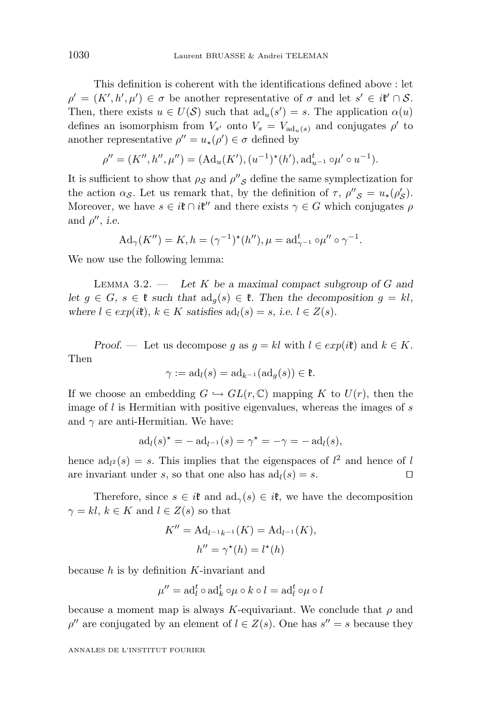This definition is coherent with the identifications defined above : let  $\rho' = (K', h', \mu') \in \sigma$  be another representative of  $\sigma$  and let  $s' \in i\mathfrak{k}' \cap S$ . Then, there exists  $u \in U(\mathcal{S})$  such that  $\mathrm{ad}_u(s') = s$ . The application  $\alpha(u)$ defines an isomorphism from  $V_{s'}$  onto  $V_s = V_{ad_u(s)}$  and conjugates  $\rho'$  to another representative  $\rho'' = u_{\star}(\rho') \in \sigma$  defined by

$$
\rho'' = (K'', h'', \mu'') = (Ad_u(K'), (u^{-1})^*(h'), ad_{u^{-1}}^t \circ \mu' \circ u^{-1}).
$$

It is sufficient to show that  $\rho_S$  and  $\rho''_S$  define the same symplectization for the action *α*<sub>S</sub>. Let us remark that, by the definition of  $\tau$ ,  $\rho''_{\delta} = u_{\star}(\rho'_{\delta})$ . Moreover, we have  $s \in i\mathfrak{k} \cap i\mathfrak{k}''$  and there exists  $\gamma \in G$  which conjugates  $\rho$ and  $\rho''$ , *i.e.* 

$$
Ad_{\gamma}(K'') = K, h = (\gamma^{-1})^*(h''), \mu = ad_{\gamma^{-1}}^t \circ \mu'' \circ \gamma^{-1}.
$$

We now use the following lemma:

Lemma 3.2. — *Let K be a maximal compact subgroup of G and let*  $g \in G$ ,  $s \in \mathfrak{k}$  *such that*  $\text{ad}_g(s) \in \mathfrak{k}$ *. Then the decomposition*  $g = kl$ *, where*  $l \in exp(i\mathfrak{k})$ *,*  $k \in K$  *satisfies*  $ad_l(s) = s$ *, i.e.*  $l \in Z(s)$ *.* 

*Proof.* — Let us decompose *g* as  $g = kl$  with  $l \in exp(i\mathfrak{k})$  and  $k \in K$ . Then

$$
\gamma := \mathrm{ad}_l(s) = \mathrm{ad}_{k^{-1}}(\mathrm{ad}_g(s)) \in \mathfrak{k}.
$$

If we choose an embedding  $G \hookrightarrow GL(r, \mathbb{C})$  mapping K to  $U(r)$ , then the image of *l* is Hermitian with positive eigenvalues, whereas the images of *s* and  $\gamma$  are anti-Hermitian. We have:

$$
ad_l(s)^* = -ad_{l^{-1}}(s) = \gamma^* = -\gamma = -ad_l(s),
$$

hence  $ad_{l^2}(s) = s$ . This implies that the eigenspaces of  $l^2$  and hence of *l* are invariant under *s*, so that one also has  $ad_l(s) = s$ .

Therefore, since  $s \in i\mathfrak{k}$  and  $ad_{\gamma}(s) \in i\mathfrak{k}$ , we have the decomposition  $\gamma = kl, k \in K$  and  $l \in Z(s)$  so that

$$
K'' = \mathrm{Ad}_{l^{-1}k^{-1}}(K) = \mathrm{Ad}_{l^{-1}}(K),
$$
  

$$
h'' = \gamma^*(h) = l^*(h)
$$

because *h* is by definition *K*-invariant and

$$
\mu'' = \mathrm{ad}_l^t \circ \mathrm{ad}_k^t \circ \mu \circ k \circ l = \mathrm{ad}_l^t \circ \mu \circ l
$$

because a moment map is always *K*-equivariant. We conclude that  $\rho$  and  $\rho''$  are conjugated by an element of  $l \in Z(s)$ . One has  $s'' = s$  because they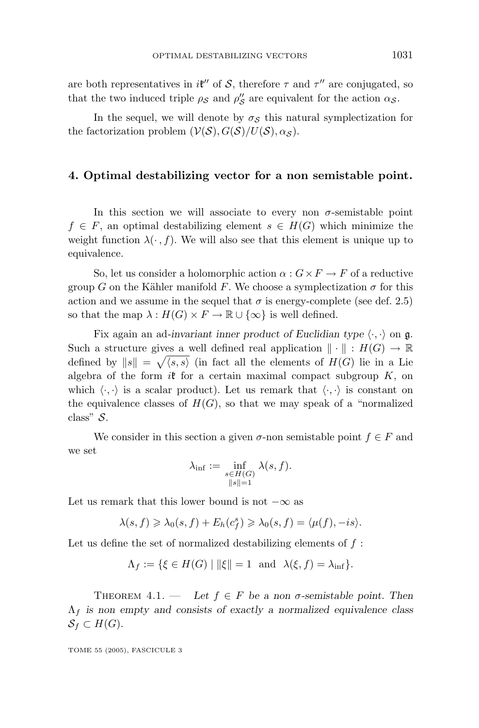are both representatives in *i*t<sup>"</sup> of S, therefore  $\tau$  and  $\tau$ " are conjugated, so that the two induced triple  $\rho_S$  and  $\rho''_S$  are equivalent for the action  $\alpha_S$ .

In the sequel, we will denote by  $\sigma_S$  this natural symplectization for the factorization problem  $(V(S), G(S)/U(S), \alpha_S)$ .

#### **4. Optimal destabilizing vector for a non semistable point.**

In this section we will associate to every non  $\sigma$ -semistable point  $f \in F$ , an optimal destabilizing element  $s \in H(G)$  which minimize the weight function  $\lambda(\cdot, f)$ . We will also see that this element is unique up to equivalence.

So, let us consider a holomorphic action  $\alpha$  :  $G \times F \to F$  of a reductive group *G* on the Kähler manifold *F*. We choose a symplectization  $\sigma$  for this action and we assume in the sequel that  $\sigma$  is energy-complete (see def. 2.5) so that the map  $\lambda : H(G) \times F \to \mathbb{R} \cup {\infty}$  is well defined.

Fix again an ad-invariant inner product of Euclidian type  $\langle \cdot, \cdot \rangle$  on  $\mathfrak{g}$ . Such a structure gives a well defined real application  $\|\cdot\| : H(G) \to \mathbb{R}$ defined by  $||s|| = \sqrt{\langle s, s \rangle}$  (in fact all the elements of  $H(G)$  lie in a Lie algebra of the form  $i\mathfrak{k}$  for a certain maximal compact subgroup  $K$ , on which  $\langle \cdot, \cdot \rangle$  is a scalar product). Let us remark that  $\langle \cdot, \cdot \rangle$  is constant on the equivalence classes of  $H(G)$ , so that we may speak of a "normalized" class" S.

We consider in this section a given  $\sigma$ -non semistable point  $f \in F$  and we set

$$
\lambda_{\inf} := \inf_{\substack{s \in H(G) \\ \|s\| = 1}} \lambda(s, f).
$$

Let us remark that this lower bound is not  $-\infty$  as

$$
\lambda(s,f) \geq \lambda_0(s,f) + E_h(c_f^s) \geq \lambda_0(s,f) = \langle \mu(f), -is \rangle.
$$

Let us define the set of normalized destabilizing elements of *f* :

$$
\Lambda_f := \{ \xi \in H(G) \mid ||\xi|| = 1 \text{ and } \lambda(\xi, f) = \lambda_{\inf} \}.
$$

THEOREM 4.1. — Let  $f \in F$  be a non  $\sigma$ -semistable point. Then Λ*<sup>f</sup> is non empty and consists of exactly a normalized equivalence class*  $S_f \subset H(G)$ .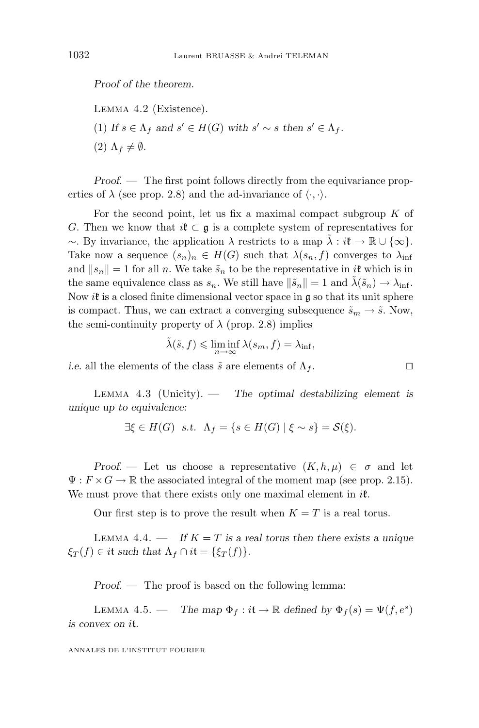*Proof of the theorem.*

Lemma 4.2 (Existence). (1) If  $s \in \Lambda_f$  and  $s' \in H(G)$  with  $s' \sim s$  then  $s' \in \Lambda_f$ .  $(2)$   $\Lambda_f \neq \emptyset$ *.* 

*Proof.* — The first point follows directly from the equivariance properties of  $\lambda$  (see prop. 2.8) and the ad-invariance of  $\langle \cdot, \cdot \rangle$ .

For the second point, let us fix a maximal compact subgroup  $K$  of *G*. Then we know that  $i\mathfrak{k} \subset \mathfrak{g}$  is a complete system of representatives for ∼. By invariance, the application *λ* restricts to a map *λ*˜ : *i*k → R ∪ {∞}. Take now a sequence  $(s_n)_n \in H(G)$  such that  $\lambda(s_n, f)$  converges to  $\lambda_{\text{inf}}$ and  $||s_n|| = 1$  for all *n*. We take  $\tilde{s}_n$  to be the representative in *i*t which is in the same equivalence class as  $s_n$ . We still have  $\|\tilde{s}_n\| = 1$  and  $\tilde{\lambda}(\tilde{s}_n) \to \lambda_{\text{inf}}$ . Now  $i\mathfrak{k}$  is a closed finite dimensional vector space in  $\mathfrak{g}$  so that its unit sphere is compact. Thus, we can extract a converging subsequence  $\tilde{s}_m \to \tilde{s}$ . Now, the semi-continuity property of  $\lambda$  (prop. 2.8) implies

$$
\tilde{\lambda}(\tilde{s}, f) \leq \liminf_{n \to \infty} \lambda(s_m, f) = \lambda_{\inf},
$$

*i.e.* all the elements of the class  $\tilde{s}$  are elements of  $\Lambda_f$ .

Lemma 4.3 (Unicity). — *The optimal destabilizing element is unique up to equivalence:*

$$
\exists \xi \in H(G) \quad s.t. \quad \Lambda_f = \{ s \in H(G) \mid \xi \sim s \} = \mathcal{S}(\xi).
$$

*Proof.* — Let us choose a representative  $(K, h, \mu) \in \sigma$  and let  $\Psi: F \times G \to \mathbb{R}$  the associated integral of the moment map (see prop. 2.15). We must prove that there exists only one maximal element in  $i\mathfrak{k}$ .

Our first step is to prove the result when  $K = T$  is a real torus.

LEMMA 4.4. — If  $K = T$  is a real torus then there exists a unique  $\xi$ <sup>*T*</sup> (*f*) ∈ *it such that*  $\Lambda$ <sub>*f*</sub>  $\cap$  *it* = { $\xi$ <sup>*T*</sup>(*f*)}.

*Proof. —* The proof is based on the following lemma:

LEMMA 4.5. — *The map*  $\Phi_f : i\mathfrak{t} \to \mathbb{R}$  *defined by*  $\Phi_f(s) = \Psi(f, e^s)$ *is convex on i*t*.*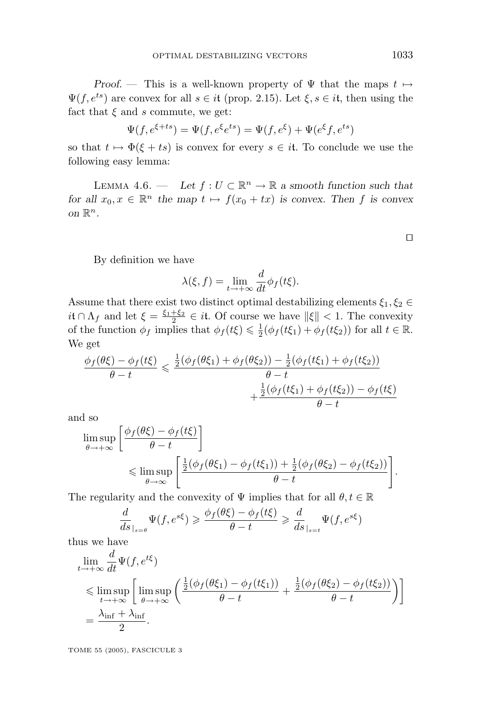*Proof.* — This is a well-known property of  $\Psi$  that the maps  $t \mapsto$  $\Psi(f, e^{ts})$  are convex for all  $s \in it$  (prop. 2.15). Let  $\xi, s \in it$ , then using the fact that  $\xi$  and  $s$  commute, we get:

$$
\Psi(f, e^{\xi+ts}) = \Psi(f, e^{\xi}e^{ts}) = \Psi(f, e^{\xi}) + \Psi(e^{\xi}f, e^{ts})
$$

so that  $t \mapsto \Phi(\xi + ts)$  is convex for every  $s \in it$ . To conclude we use the following easy lemma:

LEMMA 4.6. — Let  $f: U \subset \mathbb{R}^n \to \mathbb{R}$  a smooth function such that *for all*  $x_0, x \in \mathbb{R}^n$  *the map*  $t \mapsto f(x_0 + tx)$  *is convex. Then f is convex on*  $\mathbb{R}^n$ .

By definition we have

$$
\lambda(\xi, f) = \lim_{t \to +\infty} \frac{d}{dt} \phi_f(t\xi).
$$

Assume that there exist two distinct optimal destabilizing elements  $\xi_1, \xi_2 \in$  $i$ **t** ∩  $\Lambda_f$  and let  $\xi = \frac{\xi_1 + \xi_2}{2} \in i$ **t.** Of course we have  $\|\xi\| < 1$ . The convexity of the function  $\phi_f$  implies that  $\phi_f(t\xi) \leq \frac{1}{2}(\phi_f(t\xi_1) + \phi_f(t\xi_2))$  for all  $t \in \mathbb{R}$ . We get

$$
\frac{\phi_f(\theta\xi) - \phi_f(t\xi)}{\theta - t} \le \frac{\frac{1}{2}(\phi_f(\theta\xi_1) + \phi_f(\theta\xi_2)) - \frac{1}{2}(\phi_f(t\xi_1) + \phi_f(t\xi_2))}{\theta - t} + \frac{\frac{1}{2}(\phi_f(t\xi_1) + \phi_f(t\xi_2)) - \phi_f(t\xi)}{\theta - t}
$$

and so

$$
\limsup_{\theta \to +\infty} \left[ \frac{\phi_f(\theta \xi) - \phi_f(t\xi)}{\theta - t} \right] \le \limsup_{\theta \to \infty} \left[ \frac{\frac{1}{2}(\phi_f(\theta \xi_1) - \phi_f(t\xi_1)) + \frac{1}{2}(\phi_f(\theta \xi_2) - \phi_f(t\xi_2))}{\theta - t} \right].
$$

The regularity and the convexity of  $\Psi$  implies that for all  $\theta, t \in \mathbb{R}$ 

$$
\frac{d}{ds}\Big|_{s=\theta} \Psi(f, e^{s\xi}) \geq \frac{\phi_f(\theta\xi) - \phi_f(t\xi)}{\theta - t} \geq \frac{d}{ds}\Big|_{s=t} \Psi(f, e^{s\xi})
$$

thus we have

$$
\lim_{t \to +\infty} \frac{d}{dt} \Psi(f, e^{t\xi})
$$
\n
$$
\leq \limsup_{t \to +\infty} \left[ \limsup_{\theta \to +\infty} \left( \frac{\frac{1}{2} (\phi_f(\theta \xi_1) - \phi_f(t\xi_1))}{\theta - t} + \frac{\frac{1}{2} (\phi_f(\theta \xi_2) - \phi_f(t\xi_2))}{\theta - t} \right) \right]
$$
\n
$$
= \frac{\lambda_{\text{inf}} + \lambda_{\text{inf}}}{2}.
$$

TOME 55 (2005), FASCICULE 3

 $\Box$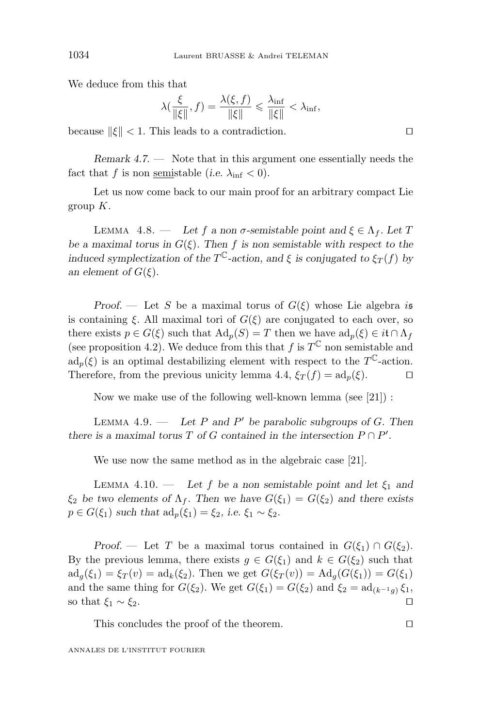We deduce from this that

$$
\lambda(\frac{\xi}{\|\xi\|},f) = \frac{\lambda(\xi,f)}{\|\xi\|} \leq \frac{\lambda_{\inf}}{\|\xi\|} < \lambda_{\inf},
$$

because  $\|\xi\| < 1$ . This leads to a contradiction.

*Remark 4.7*. — Note that in this argument one essentially needs the fact that *f* is non <u>semi</u>stable (*i.e.*  $\lambda_{\text{inf}} < 0$ ).

Let us now come back to our main proof for an arbitrary compact Lie group *K*.

LEMMA 4.8. — Let *f* a non  $\sigma$ -semistable point and  $\xi \in \Lambda_f$ . Let *T be a maximal torus in*  $G(\xi)$ . Then *f* is non semistable with respect to the *induced symplectization of the*  $T^{\mathbb{C}}$ *-action, and*  $\xi$  *is conjugated to*  $\xi_T(f)$  *by an element of*  $G(\xi)$ *.* 

*Proof.* — Let *S* be a maximal torus of  $G(\xi)$  whose Lie algebra *i*s is containing  $\xi$ . All maximal tori of  $G(\xi)$  are conjugated to each over, so there exists  $p \in G(\xi)$  such that  $\text{Ad}_p(S) = T$  then we have  $\text{ad}_p(\xi) \in i\mathfrak{t} \cap \Lambda_f$ (see proposition 4.2). We deduce from this that  $f$  is  $T^{\mathbb{C}}$  non semistable and  $ad_p(\xi)$  is an optimal destabilizing element with respect to the  $T^{\mathbb{C}}$ -action. Therefore, from the previous unicity lemma 4.4,  $\xi_T(f) = \mathrm{ad}_p(\xi)$ .

Now we make use of the following well-known lemma (see [21]) :

Lemma 4.9. — *Let P and P be parabolic subgroups of G. Then there is a maximal torus*  $T$  *of*  $G$  *contained in the intersection*  $P \cap P'$ *.* 

We use now the same method as in the algebraic case [21].

LEMMA 4.10. — Let f be a non semistable point and let  $\xi_1$  and *ξ*<sub>2</sub> *be two elements of*  $\Lambda_f$ *. Then we have*  $G(\xi_1) = G(\xi_2)$  *and there exists p* ∈ *G*( $ξ_1$ ) *such that*  $ad_p(ξ_1) = ξ_2$ *, i.e.*  $ξ_1 ∼ ξ_2$ *.* 

*Proof.* — Let *T* be a maximal torus contained in  $G(\xi_1) \cap G(\xi_2)$ . By the previous lemma, there exists  $g \in G(\xi_1)$  and  $k \in G(\xi_2)$  such that  $\mathrm{ad}_g(\xi_1) = \xi_T(v) = \mathrm{ad}_k(\xi_2)$ . Then we get  $G(\xi_T(v)) = \mathrm{Ad}_g(G(\xi_1)) = G(\xi_1)$ and the same thing for  $G(\xi_2)$ . We get  $G(\xi_1) = G(\xi_2)$  and  $\xi_2 = \text{ad}_{(k^{-1}q)} \xi_1$ , so that  $\xi_1 \sim \xi_2$ .

This concludes the proof of the theorem.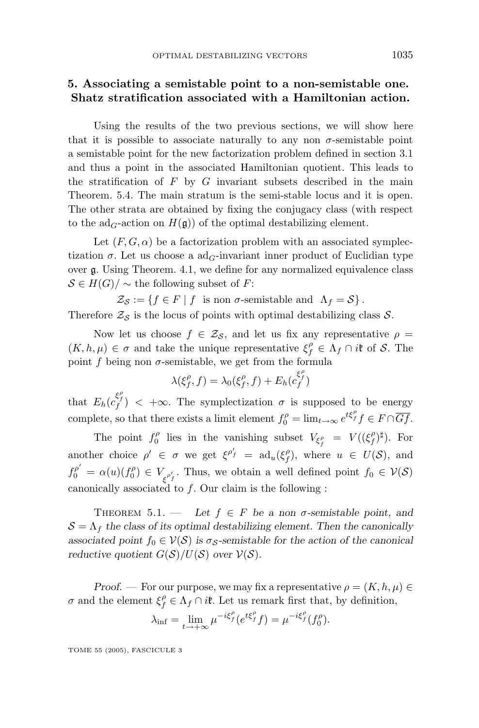#### **5. Associating a semistable point to a non-semistable one. Shatz stratification associated with a Hamiltonian action.**

Using the results of the two previous sections, we will show here that it is possible to associate naturally to any non  $\sigma$ -semistable point a semistable point for the new factorization problem defined in section 3.1 and thus a point in the associated Hamiltonian quotient. This leads to the stratification of  $F$  by  $G$  invariant subsets described in the main Theorem. 5.4. The main stratum is the semi-stable locus and it is open. The other strata are obtained by fixing the conjugacy class (with respect to the ad<sub>G</sub>-action on  $H(\mathfrak{g})$  of the optimal destabilizing element.

Let  $(F, G, \alpha)$  be a factorization problem with an associated symplectization  $\sigma$ . Let us choose a ad<sub>G</sub>-invariant inner product of Euclidian type over  $\mathfrak g$ . Using Theorem. 4.1, we define for any normalized equivalence class  $\mathcal{S} \in H(G)/\sim$  the following subset of *F*:

 $\mathcal{Z}_{\mathcal{S}} := \{ f \in F \mid f \text{ is non } \sigma \text{-semistable and } \Lambda_f = \mathcal{S} \}.$ 

Therefore  $\mathcal{Z}_{\mathcal{S}}$  is the locus of points with optimal destabilizing class  $\mathcal{S}$ .

Now let us choose  $f \in \mathcal{Z}_{\mathcal{S}}$ , and let us fix any representative  $\rho =$  $(K, h, \mu) \in \sigma$  and take the unique representative  $\xi_f^{\rho} \in \Lambda_f \cap i\mathfrak{k}$  of S. The point  $f$  being non  $\sigma$ -semistable, we get from the formula

$$
\lambda(\xi_f^{\rho}, f) = \lambda_0(\xi_f^{\rho}, f) + E_h(c_f^{\xi_f^{\rho}})
$$

that  $E_h(c_f^{\xi_f^{\rho}}) < +\infty$ . The symplectization  $\sigma$  is supposed to be energy complete, so that there exists a limit element  $f_0^{\rho} = \lim_{t \to \infty} e^{t\xi_f^{\rho}} f \in F \cap \overline{Gf}$ .

The point  $f_0^{\rho}$  lies in the vanishing subset  $V_{\xi_f^{\rho}} = V((\xi_f^{\rho})^{\sharp})$ . For another choice  $\rho' \in \sigma$  we get  $\xi^{\rho'_f} = \text{ad}_u(\xi^{\rho}_f)$ , where  $u \in U(\mathcal{S})$ , and  $f_0^{\rho'} = \alpha(u)(f_0^{\rho}) \in V_{\xi^{\rho'_f}}$ . Thus, we obtain a well defined point  $f_0 \in V(\mathcal{S})$ canonically associated to *f*. Our claim is the following :

THEOREM 5.1. — Let  $f \in F$  be a non  $\sigma$ -semistable point, and  $S = \Lambda_f$  the class of its optimal destabilizing element. Then the canonically *associated point*  $f_0 \in V(S)$  *is*  $\sigma_S$ -semistable for the action of the canonical *reductive quotient*  $G(S)/U(S)$  *over*  $V(S)$ *.* 

*Proof.* — For our purpose, we may fix a representative  $\rho = (K, h, \mu) \in$ *σ* and the element  $\xi_f^{\rho} \in \Lambda_f \cap i\mathfrak{k}$ . Let us remark first that, by definition,

$$
\lambda_{\inf} = \lim_{t \to +\infty} \mu^{-i\xi_f^{\rho}}(e^{t\xi_f^{\rho}}f) = \mu^{-i\xi_f^{\rho}}(f_0^{\rho}).
$$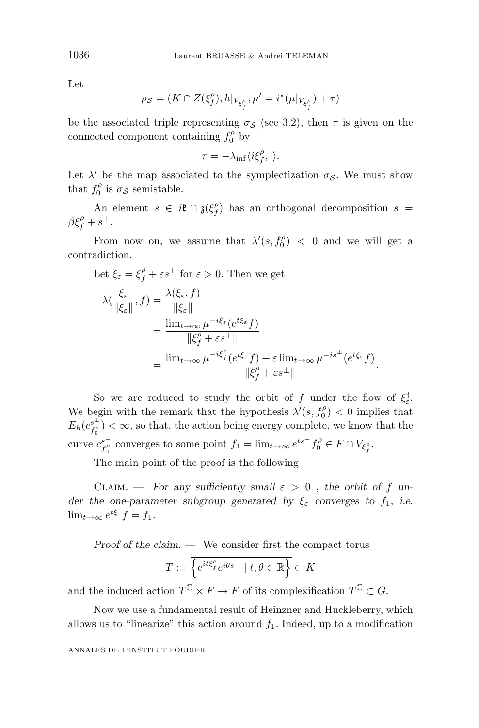Let

$$
\rho_{\mathcal{S}} = (K \cap Z(\xi_f^{\rho}), h|_{V_{\xi_f^{\rho}}}, \mu' = i^{\star}(\mu|_{V_{\xi_f^{\rho}}}) + \tau)
$$

be the associated triple representing  $\sigma_S$  (see 3.2), then  $\tau$  is given on the connected component containing  $f_0^{\rho}$  by

$$
\tau=-\lambda_{\inf}\langle i\xi_f^\rho,\cdot\rangle.
$$

Let  $\lambda'$  be the map associated to the symplectization  $\sigma_{\mathcal{S}}$ . We must show that  $f_0^{\rho}$  is  $\sigma_{\mathcal{S}}$  semistable.

An element  $s \in i\mathfrak{k} \cap \mathfrak{z}(\xi_f^{\rho})$  has an orthogonal decomposition  $s =$  $βξ<sup>ρ</sup><sub>f</sub> + s<sup>⊥</sup>.$ 

From now on, we assume that  $\lambda'(s, f_0^{\rho}) < 0$  and we will get a contradiction.

Let 
$$
\xi_{\varepsilon} = \xi_{f}^{\rho} + \varepsilon s^{\perp}
$$
 for  $\varepsilon > 0$ . Then we get  
\n
$$
\lambda(\frac{\xi_{\varepsilon}}{\|\xi_{\varepsilon}\|}, f) = \frac{\lambda(\xi_{\varepsilon}, f)}{\|\xi_{\varepsilon}\|}
$$
\n
$$
= \frac{\lim_{t \to \infty} \mu^{-i\xi_{\varepsilon}} (e^{t\xi_{\varepsilon}} f)}{\|\xi_{f}^{\rho} + \varepsilon s^{\perp}\|}
$$
\n
$$
= \frac{\lim_{t \to \infty} \mu^{-i\xi_{f}^{\rho}} (e^{t\xi_{\varepsilon}} f) + \varepsilon \lim_{t \to \infty} \mu^{-is^{\perp}} (e^{t\xi_{\varepsilon}} f)}{\|\xi_{f}^{\rho} + \varepsilon s^{\perp}\|}.
$$

So we are reduced to study the orbit of  $f$  under the flow of  $\xi_{\varepsilon}^{\sharp}$ . We begin with the remark that the hypothesis  $\lambda'(s, f_0^{\rho}) < 0$  implies that  $E_h(c_{f_0^{\rho}}^{s^{\perp}}) < \infty$ , so that, the action being energy complete, we know that the curve  $c_{f_0^{\rho}}^{s^{\perp}}$  converges to some point  $f_1 = \lim_{t \to \infty} e^{ts^{\perp}} f_0^{\rho} \in F \cap V_{\xi_f^{\rho}}$ .

The main point of the proof is the following

CLAIM. — For any sufficiently small  $\varepsilon > 0$ , the orbit of f un*der the one-parameter subgroup generated by*  $\xi$ *ε converges to*  $f_1$ *, i.e.*  $\lim_{t\to\infty}e^{t\xi_{\varepsilon}}f=f_1.$ 

*Proof of the claim*. — We consider first the compact torus

$$
T := \overline{\left\{ e^{it\xi_f^{\rho}} e^{i\theta s^{\perp}} \mid t, \theta \in \mathbb{R} \right\}} \subset K
$$

and the induced action  $T^{\mathbb{C}} \times F \to F$  of its complexification  $T^{\mathbb{C}} \subset G$ .

Now we use a fundamental result of Heinzner and Huckleberry, which allows us to "linearize" this action around  $f_1$ . Indeed, up to a modification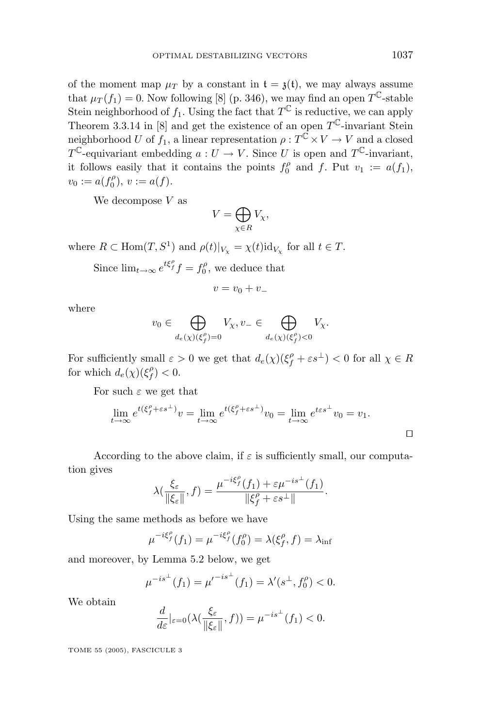of the moment map  $\mu$ <sup>*T*</sup> by a constant in  $t = \lambda(t)$ , we may always assume that  $\mu_T(f_1) = 0$ . Now following [8] (p. 346), we may find an open  $T^{\mathbb{C}}$ -stable Stein neighborhood of  $f_1$ . Using the fact that  $T^{\mathbb{C}}$  is reductive, we can apply Theorem 3.3.14 in [8] and get the existence of an open  $T^{\mathbb{C}}$ -invariant Stein neighborhood *U* of  $f_1$ , a linear representation  $\rho: T^{\tilde{C}} \times V \to V$  and a closed *T*<sup> $\mathbb{C}$ -equivariant embedding *a* : *U*  $\rightarrow$  *V*. Since *U* is open and *T*<sup> $\mathbb{C}$ -invariant,</sup></sup> it follows easily that it contains the points  $f_0^{\rho}$  and  $f$ . Put  $v_1 := a(f_1)$ ,  $v_0 := a(f_0^{\rho}), v := a(f).$ 

We decompose *V* as

$$
V=\bigoplus_{\chi\in R}V_\chi,
$$

where  $R \subset \text{Hom}(T, S^1)$  and  $\rho(t)|_{V_x} = \chi(t) \text{id}_{V_x}$  for all  $t \in T$ .

Since  $\lim_{t\to\infty} e^{t\xi_f^{\rho}} f = f_0^{\rho}$ , we deduce that

$$
v=v_0+v_-
$$

where

$$
v_0 \in \bigoplus_{d_e(\chi)(\xi_f^{\rho})=0} V_{\chi}, v_{-} \in \bigoplus_{d_e(\chi)(\xi_f^{\rho})<0} V_{\chi}.
$$

For sufficiently small  $\varepsilon > 0$  we get that  $d_e(\chi)(\xi_f^{\rho} + \varepsilon s^{\perp}) < 0$  for all  $\chi \in R$ for which  $d_e(\chi)(\xi_f^{\rho}) < 0$ .

For such  $\varepsilon$  we get that

$$
\lim_{t \to \infty} e^{t(\xi_f^{\rho} + \varepsilon s^{\perp})} v = \lim_{t \to \infty} e^{t(\xi_f^{\rho} + \varepsilon s^{\perp})} v_0 = \lim_{t \to \infty} e^{t \varepsilon s^{\perp}} v_0 = v_1.
$$

According to the above claim, if  $\varepsilon$  is sufficiently small, our computation gives

$$
\lambda(\frac{\xi_{\varepsilon}}{\|\xi_{\varepsilon}\|},f) = \frac{\mu^{-i\xi_f^{\rho}}(f_1) + \varepsilon\mu^{-is^{\perp}}(f_1)}{\|\xi_f^{\rho} + \varepsilon s^{\perp}\|}.
$$

Using the same methods as before we have

$$
\mu^{-i\xi_f^{\rho}}(f_1) = \mu^{-i\xi_f^{\rho}}(f_0^{\rho}) = \lambda(\xi_f^{\rho}, f) = \lambda_{\inf}
$$

and moreover, by Lemma 5.2 below, we get

$$
\mu^{-is^{\perp}}(f_1) = {\mu'}^{-is^{\perp}}(f_1) = \lambda'(s^{\perp}, f_0^{\rho}) < 0.
$$

We obtain

$$
\frac{d}{d\varepsilon}|_{\varepsilon=0}(\lambda(\frac{\xi_{\varepsilon}}{\|\xi_{\varepsilon}\|},f))=\mu^{-is^{\perp}}(f_1)<0.
$$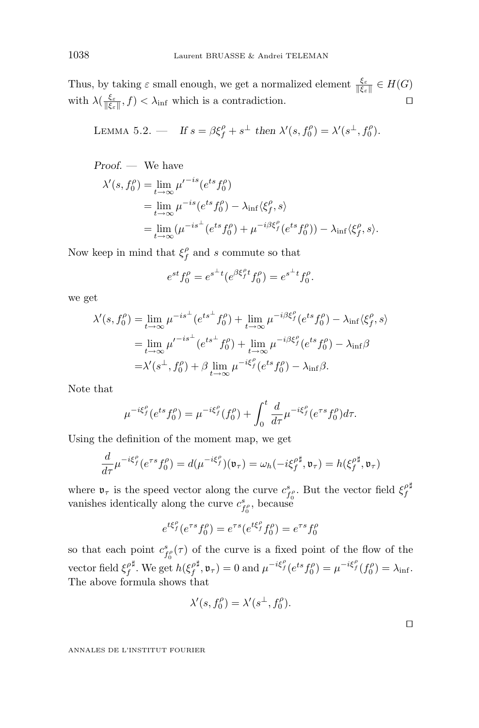Thus, by taking  $\varepsilon$  small enough, we get a normalized element  $\frac{\xi_{\varepsilon}}{\|\xi_{\varepsilon}\|} \in H(G)$ with  $\lambda(\frac{\xi_{\varepsilon}}{\|\xi_{\varepsilon}\|},f) < \lambda_{\inf}$  which is a contradiction.

LEMMA 5.2. – If 
$$
s = \beta \xi_f^{\rho} + s^{\perp}
$$
 then  $\lambda'(s, f_0^{\rho}) = \lambda'(s^{\perp}, f_0^{\rho})$ .

*Proof. —* We have

$$
\lambda'(s, f_0^{\rho}) = \lim_{t \to \infty} \mu'^{-is} (e^{ts} f_0^{\rho})
$$
  
= 
$$
\lim_{t \to \infty} \mu^{-is} (e^{ts} f_0^{\rho}) - \lambda_{\inf} \langle \xi_f^{\rho}, s \rangle
$$
  
= 
$$
\lim_{t \to \infty} (\mu^{-is^{\perp}} (e^{ts} f_0^{\rho}) + \mu^{-i\beta \xi_f^{\rho}} (e^{ts} f_0^{\rho})) - \lambda_{\inf} \langle \xi_f^{\rho}, s \rangle.
$$

Now keep in mind that  $\xi_f^{\rho}$  and *s* commute so that

$$
e^{st} f_0^{\rho} = e^{s^{\perp} t} (e^{\beta \xi_f^{\rho} t} f_0^{\rho}) = e^{s^{\perp} t} f_0^{\rho}.
$$

we get

$$
\lambda'(s, f_0^{\rho}) = \lim_{t \to \infty} \mu^{-is^{\perp}} (e^{ts^{\perp}} f_0^{\rho}) + \lim_{t \to \infty} \mu^{-i\beta \xi_f^{\rho}} (e^{ts} f_0^{\rho}) - \lambda_{\inf} \langle \xi_f^{\rho}, s \rangle
$$
  
\n
$$
= \lim_{t \to \infty} \mu'^{-is^{\perp}} (e^{ts^{\perp}} f_0^{\rho}) + \lim_{t \to \infty} \mu^{-i\beta \xi_f^{\rho}} (e^{ts} f_0^{\rho}) - \lambda_{\inf} \beta
$$
  
\n
$$
= \lambda'(s^{\perp}, f_0^{\rho}) + \beta \lim_{t \to \infty} \mu^{-i\xi_f^{\rho}} (e^{ts} f_0^{\rho}) - \lambda_{\inf} \beta.
$$

Note that

$$
\mu^{-i\xi_f^{\rho}}(e^{ts}f_0^{\rho}) = \mu^{-i\xi_f^{\rho}}(f_0^{\rho}) + \int_0^t \frac{d}{d\tau} \mu^{-i\xi_f^{\rho}}(e^{\tau s}f_0^{\rho}) d\tau.
$$

Using the definition of the moment map, we get

$$
\frac{d}{d\tau}\mu^{-i\xi_f^{\rho}}(e^{\tau s}f_0^{\rho}) = d(\mu^{-i\xi_f^{\rho}})(\mathfrak{v}_{\tau}) = \omega_h(-i\xi_f^{\rho}\sharp, \mathfrak{v}_{\tau}) = h(\xi_f^{\rho}\sharp, \mathfrak{v}_{\tau})
$$

where  $\mathfrak{v}_{\tau}$  is the speed vector along the curve  $c_{f_0}^s$ . But the vector field  $\xi_f^{\rho}$ Þ vanishes identically along the curve  $c_{f_0^o}^s$ , because

$$
e^{t\xi_f^{\rho}}(e^{\tau s}f_0^{\rho}) = e^{\tau s}(e^{t\xi_f^{\rho}}f_0^{\rho}) = e^{\tau s}f_0^{\rho}
$$

so that each point  $c_{f_0}^s(\tau)$  of the curve is a fixed point of the flow of the vector field  $\xi_f^{\rho \sharp}$ . We get <sup> $\sharp$ </sup>. We get  $h(\xi_f^{\rho})$  $\phi^{\sharp}$ ,  $\mathfrak{v}_{\tau}$ ) = 0 and  $\mu^{-i\xi_{f}^{\rho}}(e^{ts}f_{0}^{\rho}) = \mu^{-i\xi_{f}^{\rho}}(f_{0}^{\rho}) = \lambda_{\text{inf}}.$ The above formula shows that

$$
\lambda'(s,f_0^{\rho})=\lambda'(s^{\perp},f_0^{\rho}).
$$

 $\Box$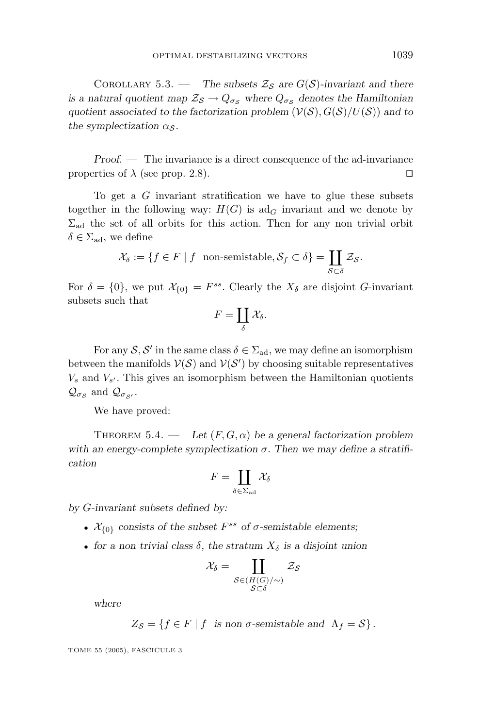COROLLARY 5.3. — *The subsets*  $\mathcal{Z}_{\mathcal{S}}$  *are*  $G(\mathcal{S})$ -invariant and there *is a natural quotient map*  $\mathcal{Z}_{\mathcal{S}} \to Q_{\sigma_{\mathcal{S}}}$  where  $Q_{\sigma_{\mathcal{S}}}$  denotes the Hamiltonian quotient associated to the factorization problem  $(V(S), G(S)/U(S))$  and to *the symplectization*  $\alpha_s$ .

*Proof. —* The invariance is a direct consequence of the ad-invariance properties of  $\lambda$  (see prop. 2.8).

To get a *G* invariant stratification we have to glue these subsets together in the following way:  $H(G)$  is ad<sub>G</sub> invariant and we denote by  $\Sigma_{\rm ad}$  the set of all orbits for this action. Then for any non trivial orbit  $\delta \in \Sigma_{\text{ad}}$ , we define

$$
\mathcal{X}_{\delta} := \{ f \in F \mid f \text{ non-semistable}, \mathcal{S}_f \subset \delta \} = \coprod_{\mathcal{S} \subset \delta} \mathcal{Z}_{\mathcal{S}}.
$$

For  $\delta = \{0\}$ , we put  $\mathcal{X}_{\{0\}} = F^{ss}$ . Clearly the  $X_{\delta}$  are disjoint *G*-invariant subsets such that

$$
F=\coprod_{\delta}\mathcal{X}_{\delta}.
$$

For any  $S, S'$  in the same class  $\delta \in \Sigma_{ad}$ , we may define an isomorphism between the manifolds  $V(S)$  and  $V(S')$  by choosing suitable representatives  $V_s$  and  $V_{s'}$ . This gives an isomorphism between the Hamiltonian quotients  $\mathcal{Q}_{\sigma_{\mathcal{S}}}$  and  $\mathcal{Q}_{\sigma_{\mathcal{S}'}}$ .

We have proved:

THEOREM 5.4. — Let  $(F, G, \alpha)$  be a general factorization problem with an energy-complete symplectization  $\sigma$ . Then we may define a stratifi*cation*

$$
F=\coprod_{\delta\in\Sigma_{\mathrm{ad}}}\mathcal{X}_{\delta}
$$

*by G-invariant subsets defined by:*

- $\mathcal{X}_{\{0\}}$  consists of the subset  $F^{ss}$  of  $\sigma$ -semistable elements;
- *for a non trivial class*  $\delta$ *, the stratum*  $X_{\delta}$  *is a disjoint union*

$$
\mathcal{X}_{\delta} = \coprod_{\substack{\mathcal{S} \in (H(G)/\sim) \\ \mathcal{S} \subset \delta}} \mathcal{Z}_{\mathcal{S}}
$$

*where*

$$
Z_{\mathcal{S}} = \{ f \in F \mid f \text{ is non } \sigma\text{-semistable and } \Lambda_f = \mathcal{S} \}.
$$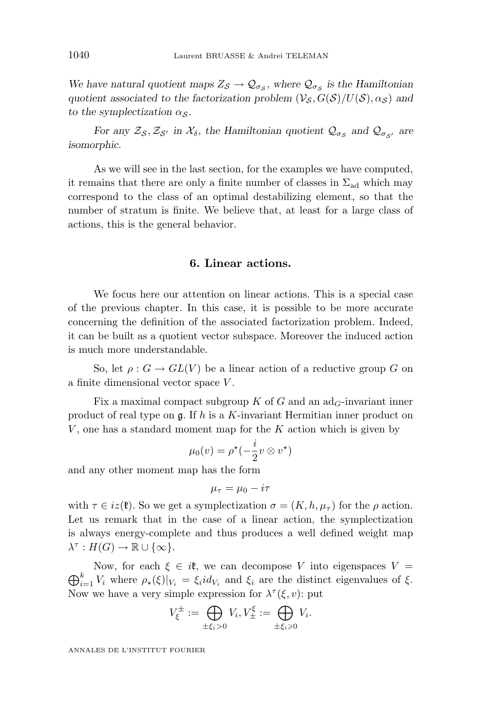*We have natural quotient maps*  $Z_{\mathcal{S}} \to \mathcal{Q}_{\sigma_{\mathcal{S}}}$ , where  $\mathcal{Q}_{\sigma_{\mathcal{S}}}$  *is the Hamiltonian quotient associated to the factorization problem*  $(V_{\mathcal{S}}, G(\mathcal{S})/U(\mathcal{S}), \alpha_{\mathcal{S}})$  and *to the symplectization*  $\alpha_S$ .

*For any*  $\mathcal{Z}_{\mathcal{S}}, \mathcal{Z}_{\mathcal{S}'}$  *in*  $\mathcal{X}_{\delta}$ *, the Hamiltonian quotient*  $\mathcal{Q}_{\sigma_{\mathcal{S}}}$  *and*  $\mathcal{Q}_{\sigma_{\mathcal{S}'}}$  *are isomorphic.*

As we will see in the last section, for the examples we have computed, it remains that there are only a finite number of classes in  $\Sigma_{ad}$  which may correspond to the class of an optimal destabilizing element, so that the number of stratum is finite. We believe that, at least for a large class of actions, this is the general behavior.

#### **6. Linear actions.**

We focus here our attention on linear actions. This is a special case of the previous chapter. In this case, it is possible to be more accurate concerning the definition of the associated factorization problem. Indeed, it can be built as a quotient vector subspace. Moreover the induced action is much more understandable.

So, let  $\rho: G \to GL(V)$  be a linear action of a reductive group *G* on a finite dimensional vector space *V* .

Fix a maximal compact subgroup *K* of *G* and an  $ad<sub>G</sub>$ -invariant inner product of real type on g. If *h* is a *K*-invariant Hermitian inner product on *V* , one has a standard moment map for the *K* action which is given by

$$
\mu_0(v) = \rho^{\star}(-\frac{i}{2}v \otimes v^{\star})
$$

and any other moment map has the form

$$
\mu_{\tau} = \mu_0 - i\tau
$$

with  $\tau \in iz(\mathfrak{k})$ . So we get a symplectization  $\sigma = (K, h, \mu_{\tau})$  for the  $\rho$  action. Let us remark that in the case of a linear action, the symplectization is always energy-complete and thus produces a well defined weight map  $\lambda^{\tau}: H(G) \to \mathbb{R} \cup {\infty}.$ 

 $\bigoplus_{i=1}^{\kappa} V_i$  where  $\rho_{\star}(\xi)|_{V_i} = \xi_i id_{V_i}$  and  $\xi_i$  are the distinct eigenvalues of  $\xi$ . Now, for each  $\xi \in i\mathfrak{k}$ , we can decompose V into eigenspaces  $V =$ Now we have a very simple expression for  $\lambda^{\tau}(\xi, v)$ : put

$$
V_{\xi}^{\pm} := \bigoplus_{\pm \xi_i > 0} V_i, V_{\pm}^{\xi} := \bigoplus_{\pm \xi_i \geq 0} V_i.
$$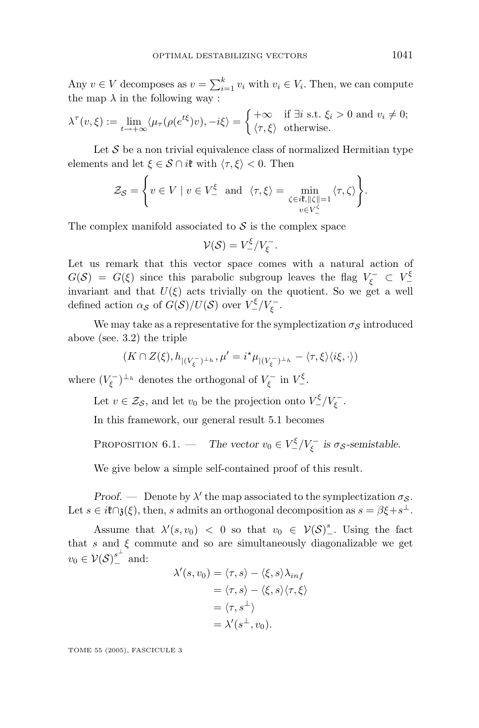Any  $v \in V$  decomposes as  $v = \sum_{i=1}^{k} v_i$  with  $v_i \in V_i$ . Then, we can compute the map  $\lambda$  in the following way :

$$
\lambda^{\tau}(v,\xi) := \lim_{t \to +\infty} \langle \mu_{\tau}(\rho(e^{t\xi})v), -i\xi \rangle = \begin{cases} +\infty & \text{if } \exists i \text{ s.t. } \xi_i > 0 \text{ and } v_i \neq 0; \\ \langle \tau, \xi \rangle & \text{otherwise.} \end{cases}
$$

Let  $\mathcal S$  be a non trivial equivalence class of normalized Hermitian type elements and let  $\xi \in S \cap i\mathfrak{k}$  with  $\langle \tau, \xi \rangle < 0$ . Then

$$
\mathcal{Z}_{\mathcal{S}} = \left\{ v \in V \mid v \in V^{\xi} \text{ and } \langle \tau, \xi \rangle = \min_{\substack{\zeta \in i^{\sharp}, ||\zeta|| = 1 \\ v \in V^{\zeta}}} \langle \tau, \zeta \rangle \right\}.
$$

The complex manifold associated to  $S$  is the complex space

$$
\mathcal{V}(\mathcal{S})=V^{\xi}_-/V_{\xi}^-.
$$

Let us remark that this vector space comes with a natural action of  $G(S) = G(\xi)$  since this parabolic subgroup leaves the flag  $V_{\xi}^- \subset V_{-}^{\xi}$ invariant and that  $U(\xi)$  acts trivially on the quotient. So we get a well defined action  $\alpha_{\mathcal{S}}$  of  $G(\mathcal{S})/U(\mathcal{S})$  over  $V^{\xi}_{-}/V_{\xi}^{-}$ .

We may take as a representative for the symplectization  $\sigma_S$  introduced above (see. 3.2) the triple

$$
(K\cap Z(\xi),h_{|(V_{\xi}^-)^{\perp_h}},\mu'=i^\star\mu_{|(V_{\xi}^-)^{\perp_h}}-\langle\tau,\xi\rangle\langle i\xi,\cdot\rangle)
$$

where  $(V_{\xi}^-)^{\perp_h}$  denotes the orthogonal of  $V_{\xi}^-$  in  $V_{-}^{\xi}$ .

Let  $v \in \mathcal{Z}_{\mathcal{S}}$ , and let  $v_0$  be the projection onto  $V^{\xi}_- / V_{\xi}^-$ .

In this framework, our general result 5.1 becomes

PROPOSITION 6.1. — *The vector*  $v_0 \in V^{\xi}_- / V_{\xi}^-$  *is*  $\sigma_{\mathcal{S}}$ *-semistable.* 

We give below a simple self-contained proof of this result.

*Proof.* — Denote by  $\lambda'$  the map associated to the symplectization  $\sigma_{\mathcal{S}}$ . Let  $s \in i\mathfrak{k} \cap \mathfrak{z}(\xi)$ , then, *s* admits an orthogonal decomposition as  $s = \beta \xi + s^{\perp}$ .

Assume that  $\lambda'(s, v_0) < 0$  so that  $v_0 \in V(S)^s_-$ . Using the fact that  $s$  and  $\xi$  commute and so are simultaneously diagonalizable we get  $v_0 \in \mathcal{V(S)}_-^{s^{\perp}}$  and:

$$
\lambda'(s, v_0) = \langle \tau, s \rangle - \langle \xi, s \rangle \lambda_{inf}
$$
  
=  $\langle \tau, s \rangle - \langle \xi, s \rangle \langle \tau, \xi \rangle$   
=  $\langle \tau, s^{\perp} \rangle$   
=  $\lambda'(s^{\perp}, v_0).$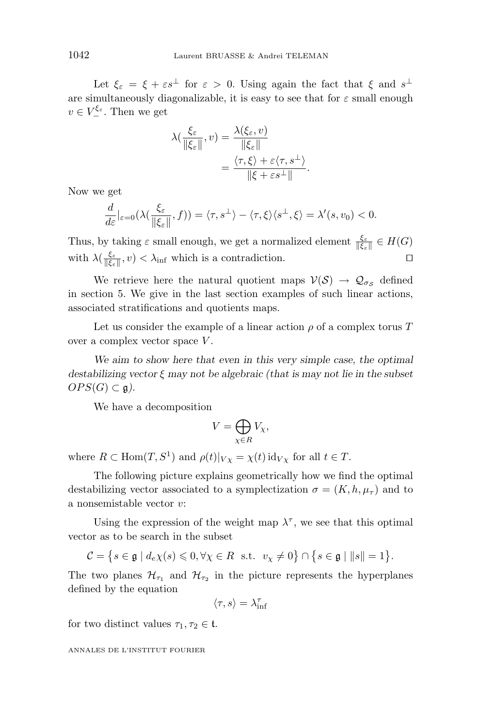Let  $\xi_{\varepsilon} = \xi + \varepsilon s^{\perp}$  for  $\varepsilon > 0$ . Using again the fact that  $\xi$  and  $s^{\perp}$ are simultaneously diagonalizable, it is easy to see that for  $\varepsilon$  small enough  $v \in V^{\xi_{\varepsilon}}$ . Then we get

$$
\lambda(\frac{\xi_{\varepsilon}}{\|\xi_{\varepsilon}\|},v) = \frac{\lambda(\xi_{\varepsilon},v)}{\|\xi_{\varepsilon}\|} \n= \frac{\langle \tau,\xi \rangle + \varepsilon \langle \tau,s^{\perp} \rangle}{\|\xi + \varepsilon s^{\perp}\|}.
$$

Now we get

$$
\frac{d}{d\varepsilon}|_{\varepsilon=0}(\lambda(\frac{\xi_{\varepsilon}}{\|\xi_{\varepsilon}\|},f))=\langle \tau,s^{\perp}\rangle-\langle \tau,\xi\rangle\langle s^{\perp},\xi\rangle=\lambda'(s,v_0)<0.
$$

Thus, by taking  $\varepsilon$  small enough, we get a normalized element  $\frac{\xi_{\varepsilon}}{\|\xi_{\varepsilon}\|} \in H(G)$ with  $\lambda(\frac{\xi_{\varepsilon}}{\|\xi_{\varepsilon}\|},v) < \lambda_{\inf}$  which is a contradiction.

We retrieve here the natural quotient maps  $V(S) \rightarrow \mathcal{Q}_{\sigma_S}$  defined in section 5. We give in the last section examples of such linear actions, associated stratifications and quotients maps.

Let us consider the example of a linear action  $\rho$  of a complex torus  $T$ over a complex vector space *V*.

*We aim to show here that even in this very simple case, the optimal destabilizing vector ξ may not be algebraic (that is may not lie in the subset*  $OPS(G) \subset \mathfrak{g}).$ 

We have a decomposition

$$
V = \bigoplus_{\chi \in R} V_{\chi},
$$

where  $R \subset \text{Hom}(T, S^1)$  and  $\rho(t)|_{V_X} = \chi(t) \text{ id}_{V_X}$  for all  $t \in T$ .

The following picture explains geometrically how we find the optimal destabilizing vector associated to a symplectization  $\sigma = (K, h, \mu_\tau)$  and to a nonsemistable vector *v*:

Using the expression of the weight map  $\lambda^{\tau}$ , we see that this optimal vector as to be search in the subset

$$
\mathcal{C} = \left\{ s \in \mathfrak{g} \mid d_e \chi(s) \leq 0, \forall \chi \in R \text{ s.t. } v_\chi \neq 0 \right\} \cap \left\{ s \in \mathfrak{g} \mid ||s|| = 1 \right\}.
$$

The two planes  $\mathcal{H}_{\tau_1}$  and  $\mathcal{H}_{\tau_2}$  in the picture represents the hyperplanes defined by the equation

$$
\langle \tau, s \rangle = \lambda^{\tau}_{\inf}
$$

for two distinct values  $\tau_1, \tau_2 \in \mathfrak{t}$ .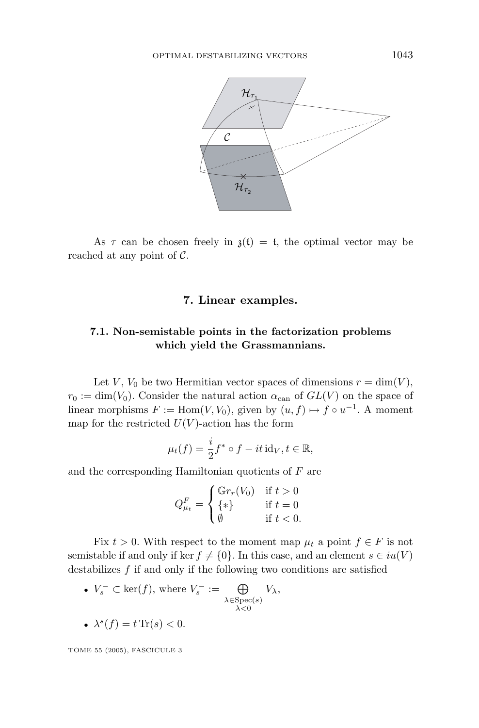

As  $\tau$  can be chosen freely in  $\chi(t) = t$ , the optimal vector may be reached at any point of  $C$ .

#### **7. Linear examples.**

#### **7.1. Non-semistable points in the factorization problems which yield the Grassmannians.**

Let *V*,  $V_0$  be two Hermitian vector spaces of dimensions  $r = \dim(V)$ ,  $r_0 := \dim(V_0)$ . Consider the natural action  $\alpha_{\text{can}}$  of  $GL(V)$  on the space of linear morphisms  $F := \text{Hom}(V, V_0)$ , given by  $(u, f) \mapsto f \circ u^{-1}$ . A moment map for the restricted  $U(V)$ -action has the form

$$
\mu_t(f) = \frac{i}{2} f^* \circ f - it \operatorname{id}_V, t \in \mathbb{R},
$$

and the corresponding Hamiltonian quotients of *F* are

$$
Q_{\mu_t}^F = \begin{cases} \mathbb{G}r_r(V_0) & \text{if } t > 0\\ \{*\} & \text{if } t = 0\\ \emptyset & \text{if } t < 0. \end{cases}
$$

Fix  $t > 0$ . With respect to the moment map  $\mu_t$  a point  $f \in F$  is not semistable if and only if ker  $f \neq \{0\}$ . In this case, and an element  $s \in iu(V)$ destabilizes *f* if and only if the following two conditions are satisfied

- $V_s^- \subset \text{ker}(f)$ , where  $V_s^- := \bigoplus_{\lambda \in \text{Spec}(s)} V_\lambda$ , *λ<*0
- $\lambda^{s}(f) = t \operatorname{Tr}(s) < 0.$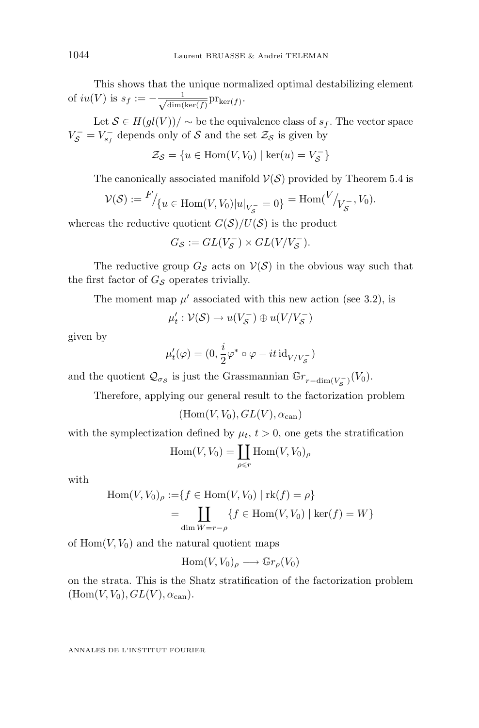This shows that the unique normalized optimal destabilizing element of  $iu(V)$  is  $s_f := -\frac{1}{\sqrt{\dim(V)}}$  $\frac{1}{\dim(\ker(f))}$  $\mathrm{pr}_{\ker(f)}$ .

Let  $S ∈ H(gl(V))/ ∼$  be the equivalence class of  $s<sub>f</sub>$ . The vector space  $V_{\mathcal{S}}^{-} = V_{s_f}^{-}$  depends only of  $\mathcal{S}$  and the set  $\mathcal{Z}_{\mathcal{S}}$  is given by

 $\mathcal{Z}_{\mathcal{S}} = \{u \in \text{Hom}(V, V_0) \mid \text{ker}(u) = V_{\mathcal{S}}^{-}\}\$ 

The canonically associated manifold  $V(S)$  provided by Theorem 5.4 is

$$
\mathcal{V}(\mathcal{S}) := \frac{F}{\sqrt{u}} \in \text{Hom}(V, V_0) |u|_{V_{\mathcal{S}}^-} = 0 = \text{Hom}(V)_{V_{\mathcal{S}}^-}, V_0).
$$

whereas the reductive quotient  $G(S)/U(S)$  is the product

$$
G_{\mathcal{S}} := GL(V_{\mathcal{S}}^-) \times GL(V/V_{\mathcal{S}}^-).
$$

The reductive group  $G_S$  acts on  $V(S)$  in the obvious way such that the first factor of  $G<sub>S</sub>$  operates trivially.

The moment map  $\mu'$  associated with this new action (see 3.2), is

$$
\mu'_t: \mathcal{V}(\mathcal{S}) \to u(V_{\mathcal{S}}^-) \oplus u(V/V_{\mathcal{S}}^-)
$$

given by

$$
\mu_t'(\varphi) = (0, \frac{i}{2}\varphi^* \circ \varphi - it \operatorname{id}_{V/V_S^-})
$$

and the quotient  $\mathcal{Q}_{\sigma_{\mathcal{S}}}$  is just the Grassmannian  $\mathbb{G}r_{r-\dim(V_{\mathcal{S}}^-)}(V_0)$ .

Therefore, applying our general result to the factorization problem

 $(Hom(V, V_0), GL(V), \alpha_{can})$ 

with the symplectization defined by  $\mu_t$ ,  $t > 0$ , one gets the stratification

$$
\operatorname{Hom}(V, V_0) = \coprod_{\rho \leq r} \operatorname{Hom}(V, V_0)_{\rho}
$$

with

$$
\text{Hom}(V, V_0)_{\rho} := \{ f \in \text{Hom}(V, V_0) \mid \text{rk}(f) = \rho \}
$$

$$
= \coprod_{\dim W = r - \rho} \{ f \in \text{Hom}(V, V_0) \mid \text{ker}(f) = W \}
$$

of  $\text{Hom}(V, V_0)$  and the natural quotient maps

$$
\mathrm{Hom}(V, V_0)_{\rho} \longrightarrow \mathbb{G}r_{\rho}(V_0)
$$

on the strata. This is the Shatz stratification of the factorization problem  $(Hom(V, V_0), GL(V), \alpha_{can}).$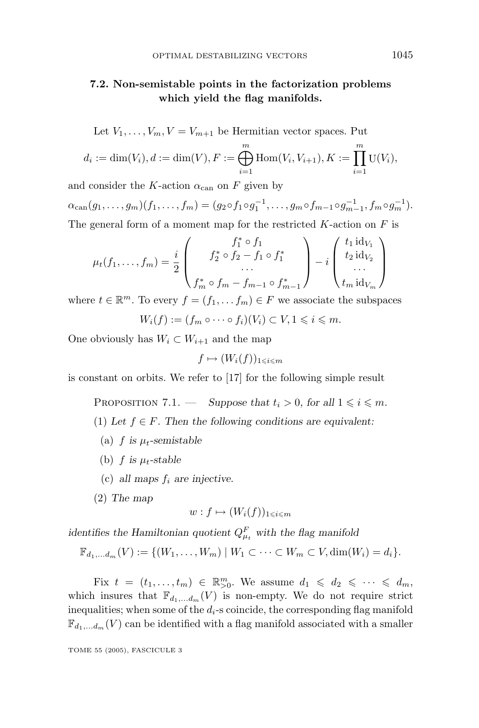#### **7.2. Non-semistable points in the factorization problems which yield the flag manifolds.**

Let 
$$
V_1, ..., V_m, V = V_{m+1}
$$
 be Hermitian vector spaces. Put  
\n $d_i := \dim(V_i), d := \dim(V), F := \bigoplus_{i=1}^m \text{Hom}(V_i, V_{i+1}), K := \prod_{i=1}^m \text{U}(V_i, V_{i+1})$ 

$$
d_i := \dim(V_i), d := \dim(V), F := \bigoplus_{i=1}^{\infty} \text{Hom}(V_i, V_{i+1}), K := \prod_{i=1}^{\infty} \text{U}(V_i),
$$

and consider the *K*-action  $\alpha_{\text{can}}$  on *F* given by  $\alpha_{\text{can}}(g_1,\ldots,g_m)(f_1,\ldots,f_m)=(g_2\circ f_1\circ g_1^{-1},\ldots,g_m\circ f_{m-1}\circ g_{m-1}^{-1},f_m\circ g_m^{-1}).$ 

The general form of a moment map for the restricted *K*-action on *F* is

$$
\mu_t(f_1, ..., f_m) = \frac{i}{2} \begin{pmatrix} f_1^* \circ f_1 \\ f_2^* \circ f_2 - f_1 \circ f_1^* \\ \dots \\ f_m^* \circ f_m - f_{m-1} \circ f_{m-1}^* \end{pmatrix} - i \begin{pmatrix} t_1 \operatorname{id}_{V_1} \\ t_2 \operatorname{id}_{V_2} \\ \dots \\ t_m \operatorname{id}_{V_m} \end{pmatrix}
$$

where  $t \in \mathbb{R}^m$ . To every  $f = (f_1, \ldots, f_m) \in F$  we associate the subspaces  $W_i(f) := (f_m \circ \cdots \circ f_i)(V_i) \subset V, 1 \leq i \leq m.$ 

One obviously has  $W_i \subset W_{i+1}$  and the map

$$
f \mapsto (W_i(f))_{1 \leqslant i \leqslant m}
$$

is constant on orbits. We refer to [17] for the following simple result

PROPOSITION 7.1. — *Suppose that*  $t_i > 0$ *, for all*  $1 \leq i \leq m$ *.* 

(1) Let  $f \in F$ . Then the following conditions are equivalent:

- (a)  $f$  is  $\mu_t$ -semistable
- (b)  $f$  *is*  $\mu_t$ -stable
- (c) *all maps*  $f_i$  *are injective.*
- (2) *The map*

$$
w: f \mapsto (W_i(f))_{1 \leqslant i \leqslant m}
$$

*identifies the Hamiltonian quotient*  $Q_{\mu_t}^F$  *with the flag manifold* 

$$
\mathbb{F}_{d_1,...,d_m}(V) := \{ (W_1,...,W_m) \mid W_1 \subset \cdots \subset W_m \subset V, \dim(W_i) = d_i \}.
$$

Fix  $t = (t_1, \ldots, t_m) \in \mathbb{R}_{>0}^m$ . We assume  $d_1 \leq d_2 \leq \cdots \leq d_m$ , which insures that  $\mathbb{F}_{d_1,\ldots,d_m}(V)$  is non-empty. We do not require strict inequalities; when some of the  $d_i$ -s coincide, the corresponding flag manifold  $\mathbb{F}_{d_1,\ldots,d_m}(V)$  can be identified with a flag manifold associated with a smaller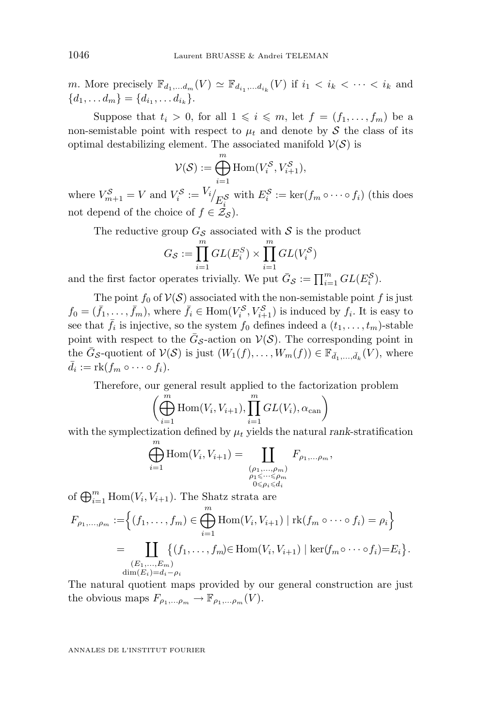*m*. More precisely  $\mathbb{F}_{d_1,\ldots,d_m}(V) \simeq \mathbb{F}_{d_i,\ldots,d_i}(V)$  if  $i_1 < i_k < \cdots < i_k$  and  ${d_1, \ldots, d_m} = {d_{i_1}, \ldots, d_{i_k}}.$ 

Suppose that  $t_i > 0$ , for all  $1 \leq i \leq m$ , let  $f = (f_1, \ldots, f_m)$  be a non-semistable point with respect to  $\mu_t$  and denote by S the class of its optimal destabilizing element. The associated manifold  $V(S)$  is

$$
\mathcal{V}(\mathcal{S}) := \bigoplus_{i=1}^{m} \text{Hom}(V_i^{\mathcal{S}}, V_{i+1}^{\mathcal{S}}),
$$

where  $V_{m+1}^S = V$  and  $V_i^S := V_i / E_i^S$  with  $E_i^S := \text{ker}(f_m \circ \cdots \circ f_i)$  (this does not depend of the choice of  $f \in \mathcal{Z}_{\mathcal{S}}$ ).

The reductive group  $G_{\mathcal{S}}$  associated with  $\mathcal{S}$  is the product

$$
G_{\mathcal{S}} := \prod_{i=1}^{m} GL(E_i^S) \times \prod_{i=1}^{m} GL(V_i^S)
$$

and the first factor operates trivially. We put  $\bar{G}_{\mathcal{S}} := \prod_{i=1}^{m} GL(E_i^{\mathcal{S}})$ .

The point  $f_0$  of  $V(S)$  associated with the non-semistable point  $f$  is just  $f_0 = (\bar{f}_1, \ldots, \bar{f}_m)$ , where  $\bar{f}_i \in \text{Hom}(V_i^{\mathcal{S}}, V_{i+1}^{\mathcal{S}})$  is induced by  $f_i$ . It is easy to see that  $\bar{f}_i$  is injective, so the system  $f_0$  defines indeed a  $(t_1, \ldots, t_m)$ -stable point with respect to the  $\bar{G}_{\mathcal{S}}$ -action on  $\mathcal{V}(\mathcal{S})$ . The corresponding point in the  $\bar{G}_{\mathcal{S}}$ -quotient of  $\mathcal{V}(\mathcal{S})$  is just  $(W_1(f), \ldots, W_m(f)) \in \mathbb{F}_{\bar{d}_1, \ldots, \bar{d}_k}(V)$ , where  $\bar{d}_i := \text{rk}(f_m \circ \cdots \circ f_i).$ 

Therefore, our general result applied to the factorization problem

$$
\left(\bigoplus_{i=1}^{m} \text{Hom}(V_i, V_{i+1}), \prod_{i=1}^{m} GL(V_i), \alpha_{\text{can}}\right)
$$

with the symplectization defined by  $\mu_t$  yields the natural *rank*-stratification

$$
\bigoplus_{i=1}^{m} \text{Hom}(V_i, V_{i+1}) = \coprod_{\substack{(\rho_1, \dots, \rho_m) \\ \rho_1 \leq \dots \leq \rho_m \\ 0 \leq \rho_i \leq d_i}} F_{\rho_1, \dots, \rho_m},
$$

of  $\bigoplus_{i=1}^{m}$  Hom $(V_i, V_{i+1})$ . The Shatz strata are

$$
F_{\rho_1,...,\rho_m} := \left\{ (f_1,...,f_m) \in \bigoplus_{i=1}^m \text{Hom}(V_i, V_{i+1}) \mid \text{rk}(f_m \circ \cdots \circ f_i) = \rho_i \right\}
$$
  
= 
$$
\coprod_{\substack{(E_1,...,E_m) \\ \dim(E_i) = d_i - \rho_i}} \left\{ (f_1,...,f_m) \in \text{Hom}(V_i, V_{i+1}) \mid \text{ker}(f_m \circ \cdots \circ f_i) = E_i \right\}.
$$

The natural quotient maps provided by our general construction are just the obvious maps  $F_{\rho_1,\dots\rho_m} \to \mathbb{F}_{\rho_1,\dots\rho_m}(V)$ .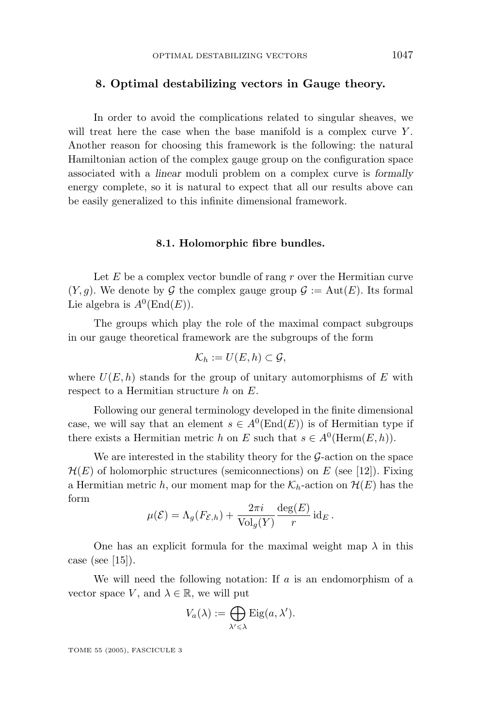#### **8. Optimal destabilizing vectors in Gauge theory.**

In order to avoid the complications related to singular sheaves, we will treat here the case when the base manifold is a complex curve  $Y$ . Another reason for choosing this framework is the following: the natural Hamiltonian action of the complexgauge group on the configuration space associated with a *linear* moduli problem on a complex curve is *formally* energy complete, so it is natural to expect that all our results above can be easily generalized to this infinite dimensional framework.

#### **8.1. Holomorphic fibre bundles.**

Let  $E$  be a complex vector bundle of rang  $r$  over the Hermitian curve  $(Y, q)$ . We denote by G the complex gauge group  $\mathcal{G} := \text{Aut}(E)$ . Its formal Lie algebra is  $A^0(\text{End}(E)).$ 

The groups which play the role of the maximal compact subgroups in our gauge theoretical framework are the subgroups of the form

$$
\mathcal{K}_h := U(E, h) \subset \mathcal{G},
$$

where  $U(E, h)$  stands for the group of unitary automorphisms of  $E$  with respect to a Hermitian structure *h* on *E*.

Following our general terminology developed in the finite dimensional case, we will say that an element  $s \in A^0(\text{End}(E))$  is of Hermitian type if there exists a Hermitian metric *h* on *E* such that  $s \in A^0(\text{Herm}(E,h)).$ 

We are interested in the stability theory for the  $\mathcal{G}\text{-action}$  on the space  $\mathcal{H}(E)$  of holomorphic structures (semiconnections) on *E* (see [12]). Fixing a Hermitian metric *h*, our moment map for the  $\mathcal{K}_h$ -action on  $\mathcal{H}(E)$  has the form

$$
\mu(\mathcal{E}) = \Lambda_g(F_{\mathcal{E},h}) + \frac{2\pi i}{\text{Vol}_g(Y)} \frac{\deg(E)}{r} \,\text{id}_E.
$$

One has an explicit formula for the maximal weight map  $\lambda$  in this case (see  $[15]$ ).

We will need the following notation: If *a* is an endomorphism of a vector space *V*, and  $\lambda \in \mathbb{R}$ , we will put

$$
V_a(\lambda) := \bigoplus_{\lambda' \leq \lambda} \mathrm{Eig}(a, \lambda').
$$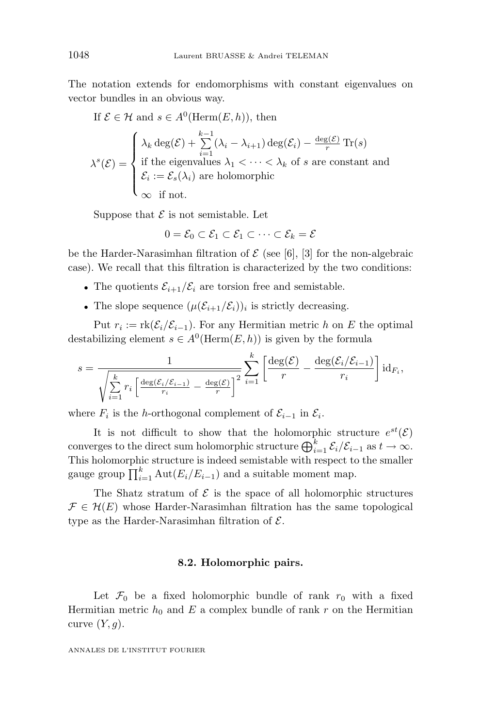The notation extends for endomorphisms with constant eigenvalues on vector bundles in an obvious way.

If 
$$
\mathcal{E} \in \mathcal{H}
$$
 and  $s \in A^0(\text{Herm}(E, h))$ , then  
\n
$$
\lambda^s(\mathcal{E}) = \begin{cases}\n\lambda_k \deg(\mathcal{E}) + \sum_{i=1}^{k-1} (\lambda_i - \lambda_{i+1}) \deg(\mathcal{E}_i) - \frac{\deg(\mathcal{E})}{r} \text{Tr}(s) \\
\text{if the eigenvalues } \lambda_1 < \cdots < \lambda_k \text{ of } s \text{ are constant and} \\
\mathcal{E}_i := \mathcal{E}_s(\lambda_i) \text{ are holomorphic} \\
\infty \text{ if not.} \n\end{cases}
$$

Suppose that  $\mathcal E$  is not semistable. Let

 $0 = \mathcal{E}_0 \subset \mathcal{E}_1 \subset \mathcal{E}_1 \subset \cdots \subset \mathcal{E}_k = \mathcal{E}$ 

be the Harder-Narasimhan filtration of  $\mathcal E$  (see [6], [3] for the non-algebraic case). We recall that this filtration is characterized by the two conditions:

- The quotients  $\mathcal{E}_{i+1}/\mathcal{E}_i$  are torsion free and semistable.
- The slope sequence  $(\mu(\mathcal{E}_{i+1}/\mathcal{E}_i))_i$  is strictly decreasing.

Put  $r_i := \text{rk}(\mathcal{E}_i/\mathcal{E}_{i-1})$ . For any Hermitian metric *h* on *E* the optimal destabilizing element  $s \in A^0(\text{Herm}(E,h))$  is given by the formula

$$
s = \frac{1}{\sqrt{\sum_{i=1}^k r_i \left[ \frac{\deg(\mathcal{E}_i/\mathcal{E}_{i-1})}{r_i} - \frac{\deg(\mathcal{E})}{r} \right]^2}} \sum_{i=1}^k \left[ \frac{\deg(\mathcal{E})}{r} - \frac{\deg(\mathcal{E}_i/\mathcal{E}_{i-1})}{r_i} \right] \mathrm{id}_{F_i},
$$

where  $F_i$  is the *h*-orthogonal complement of  $\mathcal{E}_{i-1}$  in  $\mathcal{E}_i$ .

It is not difficult to show that the holomorphic structure  $e^{st}(\mathcal{E})$ converges to the direct sum holomorphic structure  $\bigoplus_{i=1}^k \mathcal{E}_i/\mathcal{E}_{i-1}$  as  $t \to \infty$ . This holomorphic structure is indeed semistable with respect to the smaller gauge group  $\prod_{i=1}^{k} \text{Aut}(E_i/E_{i-1})$  and a suitable moment map.

The Shatz stratum of  $\mathcal E$  is the space of all holomorphic structures  $\mathcal{F} \in \mathcal{H}(E)$  whose Harder-Narasimhan filtration has the same topological type as the Harder-Narasimhan filtration of  $\mathcal{E}$ .

#### **8.2. Holomorphic pairs.**

Let  $\mathcal{F}_0$  be a fixed holomorphic bundle of rank  $r_0$  with a fixed Hermitian metric  $h_0$  and  $E$  a complex bundle of rank  $r$  on the Hermitian curve  $(Y, g)$ .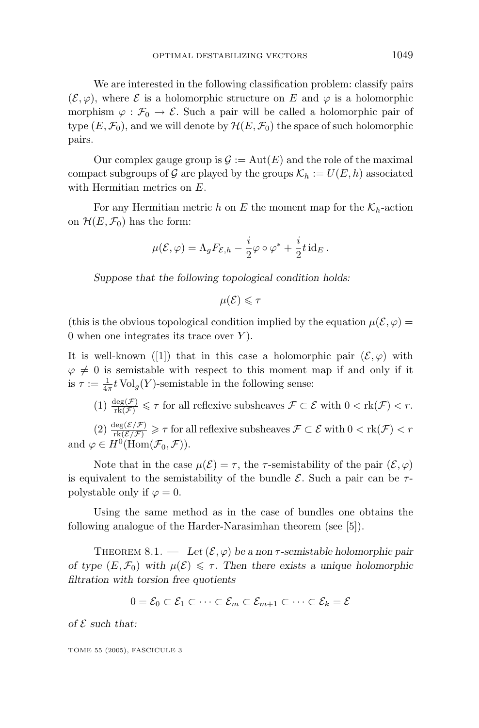We are interested in the following classification problem: classify pairs  $(\mathcal{E}, \varphi)$ , where  $\mathcal E$  is a holomorphic structure on *E* and  $\varphi$  is a holomorphic morphism  $\varphi : \mathcal{F}_0 \to \mathcal{E}$ . Such a pair will be called a holomorphic pair of type  $(E, \mathcal{F}_0)$ , and we will denote by  $\mathcal{H}(E, \mathcal{F}_0)$  the space of such holomorphic pairs.

Our complex gauge group is  $\mathcal{G} := Aut(E)$  and the role of the maximal compact subgroups of G are played by the groups  $\mathcal{K}_h := U(E, h)$  associated with Hermitian metrics on *E*.

For any Hermitian metric *h* on *E* the moment map for the  $\mathcal{K}_h$ -action on  $\mathcal{H}(E, \mathcal{F}_0)$  has the form:

$$
\mu(\mathcal{E}, \varphi) = \Lambda_g F_{\mathcal{E},h} - \frac{i}{2} \varphi \circ \varphi^* + \frac{i}{2} t \operatorname{id}_E.
$$

*Suppose that the following topological condition holds:*

 $\mu(\mathcal{E}) \leq \tau$ 

(this is the obvious topological condition implied by the equation  $\mu(\mathcal{E}, \varphi) =$ 0 when one integrates its trace over *Y* ).

It is well-known ([1]) that in this case a holomorphic pair  $(\mathcal{E}, \varphi)$  with  $\varphi \neq 0$  is semistable with respect to this moment map if and only if it is  $\tau := \frac{1}{4\pi} t \operatorname{Vol}_g(Y)$ -semistable in the following sense:

 $(1) \frac{\deg(\mathcal{F})}{\text{rk}(\mathcal{F})} \leq \tau$  for all reflexive subsheaves  $\mathcal{F} \subset \mathcal{E}$  with  $0 < \text{rk}(\mathcal{F}) < r$ .

 $(2) \frac{\deg(\mathcal{E}/\mathcal{F})}{\text{rk}(\mathcal{E}/\mathcal{F})} \geqslant \tau$  for all reflexive subsheaves  $\mathcal{F} \subset \mathcal{E}$  with  $0 < \text{rk}(\mathcal{F}) < r$ and  $\varphi \in H^0(\text{Hom}(\mathcal{F}_0, \mathcal{F}))$ .

Note that in the case  $\mu(\mathcal{E}) = \tau$ , the  $\tau$ -semistability of the pair  $(\mathcal{E}, \varphi)$ is equivalent to the semistability of the bundle  $\mathcal{E}$ . Such a pair can be  $\tau$ polystable only if  $\varphi = 0$ .

Using the same method as in the case of bundles one obtains the following analogue of the Harder-Narasimhan theorem (see [5]).

THEOREM 8.1.  $-$  *Let*  $(\mathcal{E}, \varphi)$  *be a non*  $\tau$ -semistable holomorphic pair *of type*  $(E, \mathcal{F}_0)$  *with*  $\mu(\mathcal{E}) \leq \tau$ . Then there exists a unique holomorphic *filtration with torsion free quotients*

$$
0 = \mathcal{E}_0 \subset \mathcal{E}_1 \subset \cdots \subset \mathcal{E}_m \subset \mathcal{E}_{m+1} \subset \cdots \subset \mathcal{E}_k = \mathcal{E}
$$

*of*  $\mathcal E$  *such that:*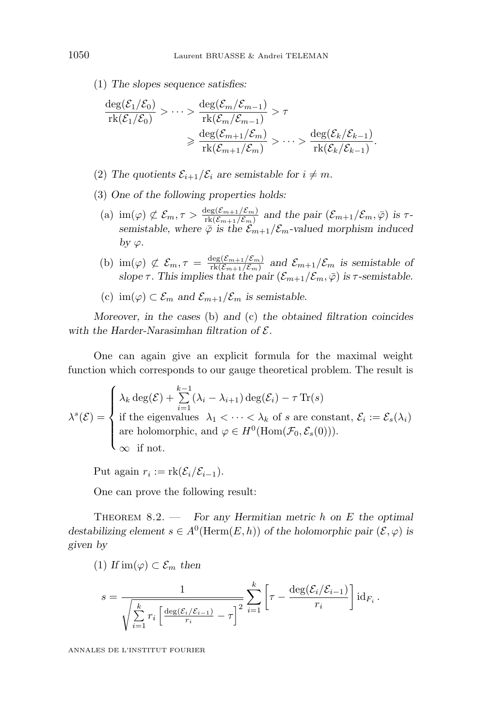(1) *The slopes sequence satisfies:*

$$
\frac{\deg(\mathcal{E}_1/\mathcal{E}_0)}{\mathrm{rk}(\mathcal{E}_1/\mathcal{E}_0)} > \cdots > \frac{\deg(\mathcal{E}_m/\mathcal{E}_{m-1})}{\mathrm{rk}(\mathcal{E}_m/\mathcal{E}_{m-1})} > \tau
$$
  

$$
\geq \frac{\deg(\mathcal{E}_{m+1}/\mathcal{E}_m)}{\mathrm{rk}(\mathcal{E}_{m+1}/\mathcal{E}_m)} > \cdots > \frac{\deg(\mathcal{E}_k/\mathcal{E}_{k-1})}{\mathrm{rk}(\mathcal{E}_k/\mathcal{E}_{k-1})}.
$$

- (2) The quotients  $\mathcal{E}_{i+1}/\mathcal{E}_i$  are semistable for  $i \neq m$ .
- (3) *One of the following properties holds:*
	- (a)  $\text{im}(\varphi) \not\subset \mathcal{E}_m, \tau > \frac{\deg(\mathcal{E}_{m+1}/\mathcal{E}_m)}{\text{rk}(\mathcal{E}_{m+1}/\mathcal{E}_m)}$  and the pair  $(\mathcal{E}_{m+1}/\mathcal{E}_m, \bar{\varphi})$  is  $\tau$ *semistable, where*  $\bar{\varphi}$  *is the*  $\mathcal{E}_{m+1}/\mathcal{E}_m$ *-valued morphism induced by*  $\varphi$ *.*
	- (b)  $\text{im}(\varphi) \not\subset \mathcal{E}_m$ ,  $\tau = \frac{\deg(\mathcal{E}_{m+1}/\mathcal{E}_m)}{\text{rk}(\mathcal{E}_{m+1}/\mathcal{E}_m)}$  and  $\mathcal{E}_{m+1}/\mathcal{E}_m$  is semistable of *slope*  $\tau$ *. This implies that the pair*  $(\mathcal{E}_{m+1}/\mathcal{E}_m, \bar{\varphi})$  *is*  $\tau$ -semistable.
	- (c)  $\text{im}(\varphi) \subset \mathcal{E}_m$  and  $\mathcal{E}_{m+1}/\mathcal{E}_m$  is semistable.

*Moreover, in the cases* (b) *and* (c) *the obtained filtration coincides with the Harder-Narasimhan filtration of* E*.*

One can again give an explicit formula for the maximal weight function which corresponds to our gauge theoretical problem. The result is

$$
\lambda^{s}(\mathcal{E}) = \begin{cases}\n\lambda_{k} \deg(\mathcal{E}) + \sum_{i=1}^{k-1} (\lambda_{i} - \lambda_{i+1}) \deg(\mathcal{E}_{i}) - \tau \operatorname{Tr}(s) \\
\text{if the eigenvalues } \lambda_{1} < \cdots < \lambda_{k} \text{ of } s \text{ are constant, } \mathcal{E}_{i} := \mathcal{E}_{s}(\lambda_{i}) \\
\text{are holomorphic, and } \varphi \in H^{0}(\text{Hom}(\mathcal{F}_{0}, \mathcal{E}_{s}(0))). \\
\infty \text{ if not.} \n\end{cases}
$$

Put again  $r_i := \text{rk}(\mathcal{E}_i/\mathcal{E}_{i-1}).$ 

One can prove the following result:

Theorem 8.2. — *For any Hermitian metric h on E the optimal destabilizing element*  $s \in A^0(\text{Herm}(E,h))$  *of the holomorphic pair*  $(\mathcal{E}, \varphi)$  *is given by*

(1) 
$$
\text{If } \text{im}(\varphi) \subset \mathcal{E}_m
$$
 then

$$
s = \frac{1}{\sqrt{\sum_{i=1}^k r_i \left[ \frac{\deg(\mathcal{E}_i/\mathcal{E}_{i-1})}{r_i} - \tau \right]^2}} \sum_{i=1}^k \left[ \tau - \frac{\deg(\mathcal{E}_i/\mathcal{E}_{i-1})}{r_i} \right] \mathrm{id}_{F_i}.
$$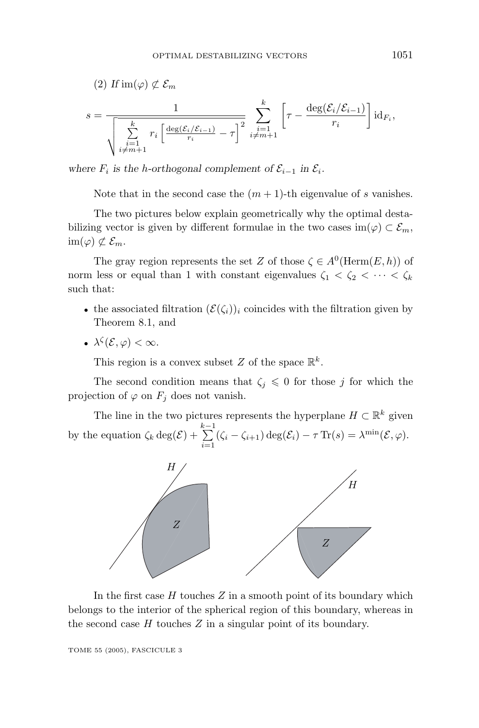$$
(2) \quad H \operatorname{im}(\varphi) \not\subset \mathcal{E}_m
$$
\n
$$
s = \frac{1}{\sqrt{\sum_{\substack{i=1 \ i \neq m+1}}^k r_i \left[ \frac{\deg(\mathcal{E}_i/\mathcal{E}_{i-1})}{r_i} - \tau \right]^2} \sum_{\substack{i=1 \ i \neq m+1}}^k \left[ \tau - \frac{\deg(\mathcal{E}_i/\mathcal{E}_{i-1})}{r_i} \right] \operatorname{id}_{F_i}},
$$

*where*  $F_i$  *is the h*-orthogonal complement of  $\mathcal{E}_{i-1}$  in  $\mathcal{E}_i$ .

Note that in the second case the  $(m + 1)$ -th eigenvalue of *s* vanishes.

The two pictures below explain geometrically why the optimal destabilizing vector is given by different formulae in the two cases im( $\varphi$ ) ⊂  $\mathcal{E}_m$ ,  $\text{im}(\varphi) \not\subset \mathcal{E}_m$ .

The gray region represents the set *Z* of those  $\zeta \in A^0(\text{Herm}(E,h))$  of norm less or equal than 1 with constant eigenvalues  $\zeta_1 < \zeta_2 < \cdots < \zeta_k$ such that:

- the associated filtration  $(\mathcal{E}(\zeta_i))_i$  coincides with the filtration given by Theorem 8.1, and
- $\lambda^{\zeta}(\mathcal{E}, \varphi) < \infty$ .

This region is a convex subset *Z* of the space  $\mathbb{R}^k$ .

The second condition means that  $\zeta_j \leq 0$  for those *j* for which the projection of  $\varphi$  on  $F_i$  does not vanish.

The line in the two pictures represents the hyperplane  $H \subset \mathbb{R}^k$  given by the equation  $\zeta_k \deg(\mathcal{E}) + \sum_{i=1}^{k-1} (\zeta_i - \zeta_{i+1}) \deg(\mathcal{E}_i) - \tau \operatorname{Tr}(s) = \lambda^{\min}(\mathcal{E}, \varphi).$ 



In the first case *H* touches *Z* in a smooth point of its boundary which belongs to the interior of the spherical region of this boundary, whereas in the second case *H* touches *Z* in a singular point of its boundary.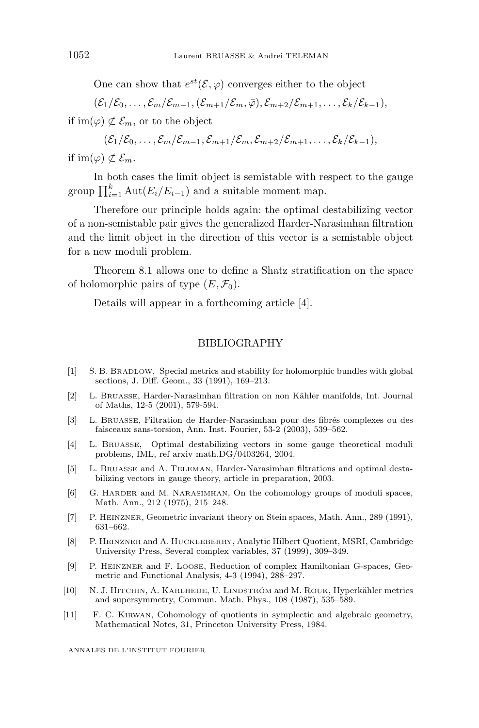One can show that  $e^{st}(\mathcal{E}, \varphi)$  converges either to the object

 $(\mathcal{E}_1/\mathcal{E}_0,\ldots,\mathcal{E}_m/\mathcal{E}_{m-1},(\mathcal{E}_{m+1}/\mathcal{E}_m,\bar{\varphi}),\mathcal{E}_{m+2}/\mathcal{E}_{m+1},\ldots,\mathcal{E}_k/\mathcal{E}_{k-1}),$ 

if im( $\varphi$ )  $\not\subset \mathcal{E}_m$ , or to the object

$$
(\mathcal{E}_1/\mathcal{E}_0,\ldots,\mathcal{E}_m/\mathcal{E}_{m-1},\mathcal{E}_{m+1}/\mathcal{E}_m,\mathcal{E}_{m+2}/\mathcal{E}_{m+1},\ldots,\mathcal{E}_k/\mathcal{E}_{k-1}),
$$

if im( $\varphi$ )  $\not\subset \mathcal{E}_m$ .

In both cases the limit object is semistable with respect to the gauge group  $\prod_{i=1}^{k} \text{Aut}(E_i/E_{i-1})$  and a suitable moment map.

Therefore our principle holds again: the optimal destabilizing vector of a non-semistable pair gives the generalized Harder-Narasimhan filtration and the limit object in the direction of this vector is a semistable object for a new moduli problem.

Theorem 8.1 allows one to define a Shatz stratification on the space of holomorphic pairs of type  $(E, \mathcal{F}_0)$ .

Details will appear in a forthcoming article [4].

#### BIBLIOGRAPHY

- [1] S. B. BRADLOW, Special metrics and stability for holomorphic bundles with global sections, J. Diff. Geom., 33 (1991), 169–213.
- [2] L. BRUASSE, Harder-Narasimhan filtration on non K¨ahler manifolds, Int. Journal of Maths, 12-5 (2001), 579-594.
- [3] L. BRUASSE, Filtration de Harder-Narasimhan pour des fibrés complexes ou des faisceaux sans-torsion, Ann. Inst. Fourier, 53-2 (2003), 539–562.
- [4] L. BRUASSE, Optimal destabilizing vectors in some gauge theoretical moduli problems, IML, ref arxiv math.DG/0403264, 2004.
- [5] L. BRUASSE and A. TELEMAN, Harder-Narasimhan filtrations and optimal destabilizing vectors in gauge theory, article in preparation, 2003.
- [6] G. HARDER and M. NARASIMHAN, On the cohomology groups of moduli spaces, Math. Ann., 212 (1975), 215–248.
- [7] P. HEINZNER, Geometricinvariant theory on Stein spaces, Math. Ann., 289 (1991), 631–662.
- [8] P. HEINZNER and A. HUCKLEBERRY, AnalyticHilbert Quotient, MSRI, Cambridge University Press, Several complex variables, 37 (1999), 309–349.
- [9] P. HEINZNER and F. LOOSE, Reduction of complex Hamiltonian G-spaces, Geometricand Functional Analysis, 4-3 (1994), 288–297.
- [10] N. J. HITCHIN, A. KARLHEDE, U. LINDSTRÖM and M. ROUK, Hyperkähler metrics and supersymmetry, Commun. Math. Phys., 108 (1987), 535–589.
- [11] F. C. KIRWAN, Cohomology of quotients in symplectic and algebraic geometry, Mathematical Notes, 31, Princeton University Press, 1984.